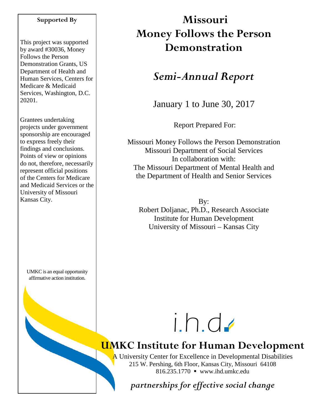#### **Supported By**

This project was supported by award #30036, Money Follows the Person Demonstration Grants, US Department of Health and Human Services, Centers for Medicare & Medicaid Services, Washington, D.C. 20201.

Grantees undertaking projects under government sponsorship are encouraged to express freely their findings and conclusions. Points of view or opinions do not, therefore, necessarily represent official positions of the Centers for Medicare and Medicaid Services or the University of Missouri Kansas City.

UMKC is an equal opportunity affirmative action institution.

# **Missouri Money Follows the Person Demonstration**

# *Semi-Annual Report*

January 1 to June 30, 2017

Report Prepared For:

Missouri Money Follows the Person Demonstration Missouri Department of Social Services In collaboration with: The Missouri Department of Mental Health and the Department of Health and Senior Services

By: Robert Doljanac, Ph.D., Research Associate Institute for Human Development University of Missouri – Kansas City



# **UMKC Institute for Human Development**

A University Center for Excellence in Developmental Disabilities 215 W. Pershing, 6th Floor, Kansas City, Missouri 64108 816.235.1770 www.ihd.umkc.edu

*partnerships for effective social change*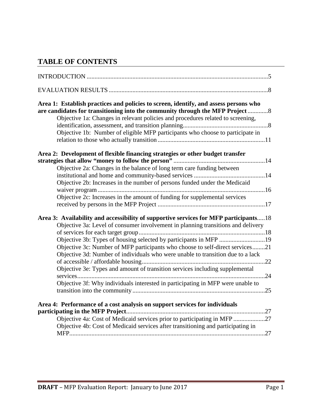# **TABLE OF CONTENTS**

| Area 1: Establish practices and policies to screen, identify, and assess persons who<br>are candidates for transitioning into the community through the MFP Project 8 |
|-----------------------------------------------------------------------------------------------------------------------------------------------------------------------|
| Objective 1a: Changes in relevant policies and procedures related to screening,                                                                                       |
|                                                                                                                                                                       |
| Objective 1b: Number of eligible MFP participants who choose to participate in                                                                                        |
| Area 2: Development of flexible financing strategies or other budget transfer                                                                                         |
|                                                                                                                                                                       |
| Objective 2a: Changes in the balance of long term care funding between                                                                                                |
|                                                                                                                                                                       |
| Objective 2b: Increases in the number of persons funded under the Medicaid                                                                                            |
|                                                                                                                                                                       |
| Objective 2c: Increases in the amount of funding for supplemental services                                                                                            |
|                                                                                                                                                                       |
| Area 3: Availability and accessibility of supportive services for MFP participants18                                                                                  |
| Objective 3a: Level of consumer involvement in planning transitions and delivery                                                                                      |
|                                                                                                                                                                       |
| Objective 3b: Types of housing selected by participants in MFP 19                                                                                                     |
| Objective 3c: Number of MFP participants who choose to self-direct services21                                                                                         |
| Objective 3d: Number of individuals who were unable to transition due to a lack                                                                                       |
|                                                                                                                                                                       |
| Objective 3e: Types and amount of transition services including supplemental                                                                                          |
|                                                                                                                                                                       |
| Objective 3f: Why individuals interested in participating in MFP were unable to                                                                                       |
|                                                                                                                                                                       |
| Area 4: Performance of a cost analysis on support services for individuals                                                                                            |
|                                                                                                                                                                       |
| Objective 4a: Cost of Medicaid services prior to participating in MFP 27                                                                                              |
| Objective 4b: Cost of Medicaid services after transitioning and participating in                                                                                      |
|                                                                                                                                                                       |
|                                                                                                                                                                       |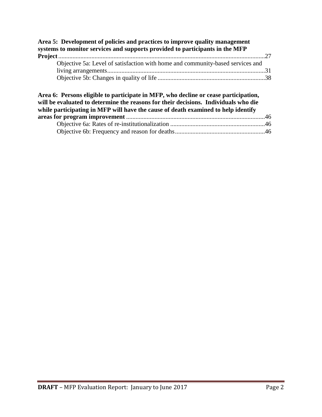| Area 5: Development of policies and practices to improve quality management<br>systems to monitor services and supports provided to participants in the MFP                                                                                                     |  |
|-----------------------------------------------------------------------------------------------------------------------------------------------------------------------------------------------------------------------------------------------------------------|--|
| Objective 5a: Level of satisfaction with home and community-based services and                                                                                                                                                                                  |  |
|                                                                                                                                                                                                                                                                 |  |
|                                                                                                                                                                                                                                                                 |  |
| Area 6: Persons eligible to participate in MFP, who decline or cease participation,<br>will be evaluated to determine the reasons for their decisions. Individuals who die<br>while participating in MFP will have the cause of death examined to help identify |  |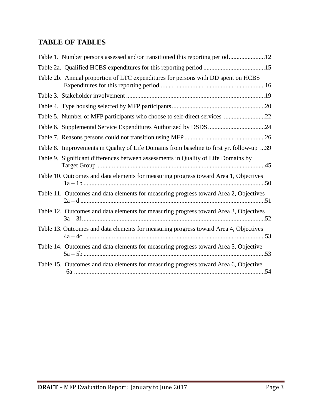# **TABLE OF TABLES**

| Table 1. Number persons assessed and/or transitioned this reporting period12             |
|------------------------------------------------------------------------------------------|
| Table 2a. Qualified HCBS expenditures for this reporting period 15                       |
| Table 2b. Annual proportion of LTC expenditures for persons with DD spent on HCBS        |
|                                                                                          |
|                                                                                          |
| Table 5. Number of MFP participants who choose to self-direct services 22                |
|                                                                                          |
|                                                                                          |
| Table 8. Improvements in Quality of Life Domains from baseline to first yr. follow-up 39 |
| Table 9. Significant differences between assessments in Quality of Life Domains by       |
| Table 10. Outcomes and data elements for measuring progress toward Area 1, Objectives    |
| Table 11. Outcomes and data elements for measuring progress toward Area 2, Objectives    |
| Table 12. Outcomes and data elements for measuring progress toward Area 3, Objectives    |
| Table 13. Outcomes and data elements for measuring progress toward Area 4, Objectives    |
| Table 14. Outcomes and data elements for measuring progress toward Area 5, Objective     |
| Table 15. Outcomes and data elements for measuring progress toward Area 6, Objective     |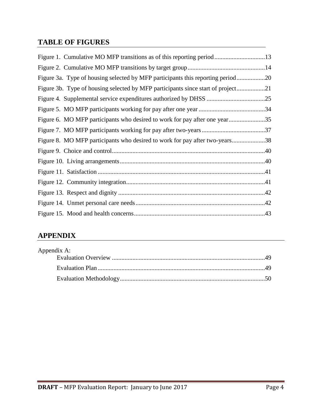# **TABLE OF FIGURES**

| Figure 3a. Type of housing selected by MFP participants this reporting period20  |  |
|----------------------------------------------------------------------------------|--|
| Figure 3b. Type of housing selected by MFP participants since start of project21 |  |
|                                                                                  |  |
|                                                                                  |  |
| Figure 6. MO MFP participants who desired to work for pay after one year35       |  |
|                                                                                  |  |
| Figure 8. MO MFP participants who desired to work for pay after two-years38      |  |
|                                                                                  |  |
|                                                                                  |  |
|                                                                                  |  |
|                                                                                  |  |
|                                                                                  |  |
|                                                                                  |  |
|                                                                                  |  |

# **APPENDIX**

| Appendix A: |  |
|-------------|--|
|             |  |
|             |  |
|             |  |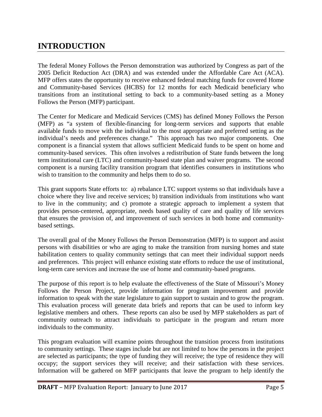# **INTRODUCTION**

The federal Money Follows the Person demonstration was authorized by Congress as part of the 2005 Deficit Reduction Act (DRA) and was extended under the Affordable Care Act (ACA). MFP offers states the opportunity to receive enhanced federal matching funds for covered Home and Community-based Services (HCBS) for 12 months for each Medicaid beneficiary who transitions from an institutional setting to back to a community-based setting as a Money Follows the Person (MFP) participant.

The Center for Medicare and Medicaid Services (CMS) has defined Money Follows the Person (MFP) as "a system of flexible-financing for long-term services and supports that enable available funds to move with the individual to the most appropriate and preferred setting as the individual's needs and preferences change." This approach has two major components. One component is a financial system that allows sufficient Medicaid funds to be spent on home and community-based services. This often involves a redistribution of State funds between the long term institutional care (LTC) and community-based state plan and waiver programs. The second component is a nursing facility transition program that identifies consumers in institutions who wish to transition to the community and helps them to do so.

This grant supports State efforts to: a) rebalance LTC support systems so that individuals have a choice where they live and receive services; b) transition individuals from institutions who want to live in the community; and c) promote a strategic approach to implement a system that provides person-centered, appropriate, needs based quality of care and quality of life services that ensures the provision of, and improvement of such services in both home and communitybased settings.

The overall goal of the Money Follows the Person Demonstration (MFP) is to support and assist persons with disabilities or who are aging to make the transition from nursing homes and state habilitation centers to quality community settings that can meet their individual support needs and preferences. This project will enhance existing state efforts to reduce the use of institutional, long-term care services and increase the use of home and community-based programs.

The purpose of this report is to help evaluate the effectiveness of the State of Missouri's Money Follows the Person Project, provide information for program improvement and provide information to speak with the state legislature to gain support to sustain and to grow the program. This evaluation process will generate data briefs and reports that can be used to inform key legislative members and others. These reports can also be used by MFP stakeholders as part of community outreach to attract individuals to participate in the program and return more individuals to the community.

This program evaluation will examine points throughout the transition process from institutions to community settings. These stages include but are not limited to how the persons in the project are selected as participants; the type of funding they will receive; the type of residence they will occupy; the support services they will receive; and their satisfaction with these services. Information will be gathered on MFP participants that leave the program to help identify the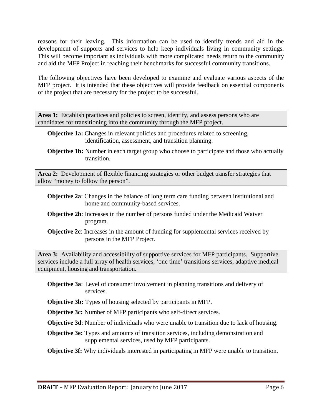reasons for their leaving. This information can be used to identify trends and aid in the development of supports and services to help keep individuals living in community settings. This will become important as individuals with more complicated needs return to the community and aid the MFP Project in reaching their benchmarks for successful community transitions.

The following objectives have been developed to examine and evaluate various aspects of the MFP project. It is intended that these objectives will provide feedback on essential components of the project that are necessary for the project to be successful.

Area 1: Establish practices and policies to screen, identify, and assess persons who are candidates for transitioning into the community through the MFP project.

- **Objective 1a:** Changes in relevant policies and procedures related to screening, identification, assessment, and transition planning.
- **Objective 1b:** Number in each target group who choose to participate and those who actually transition.

**Area 2:** Development of flexible financing strategies or other budget transfer strategies that allow "money to follow the person".

- **Objective 2a**: Changes in the balance of long term care funding between institutional and home and community-based services.
- **Objective 2b**: Increases in the number of persons funded under the Medicaid Waiver program.
- **Objective 2c**: Increases in the amount of funding for supplemental services received by persons in the MFP Project.

**Area 3:** Availability and accessibility of supportive services for MFP participants. Supportive services include a full array of health services, 'one time' transitions services, adaptive medical equipment, housing and transportation.

- **Objective 3a**: Level of consumer involvement in planning transitions and delivery of services.
- **Objective 3b:** Types of housing selected by participants in MFP.

**Objective 3c:** Number of MFP participants who self-direct services.

**Objective 3d**: Number of individuals who were unable to transition due to lack of housing.

**Objective 3e:** Types and amounts of transition services, including demonstration and supplemental services, used by MFP participants.

**Objective 3f:** Why individuals interested in participating in MFP were unable to transition.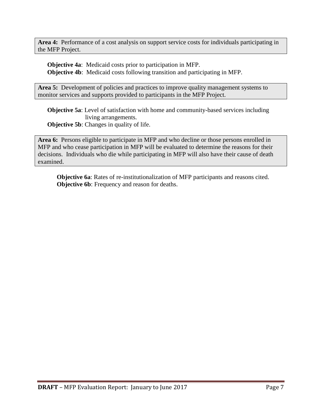**Area 4:** Performance of a cost analysis on support service costs for individuals participating in the MFP Project.

**Objective 4a**: Medicaid costs prior to participation in MFP. **Objective 4b**: Medicaid costs following transition and participating in MFP.

Area 5: Development of policies and practices to improve quality management systems to monitor services and supports provided to participants in the MFP Project.

**Objective 5a**: Level of satisfaction with home and community-based services including living arrangements.

**Objective 5b:** Changes in quality of life.

**Area 6:** Persons eligible to participate in MFP and who decline or those persons enrolled in MFP and who cease participation in MFP will be evaluated to determine the reasons for their decisions. Individuals who die while participating in MFP will also have their cause of death examined.

**Objective 6a**: Rates of re-institutionalization of MFP participants and reasons cited. **Objective 6b**: Frequency and reason for deaths.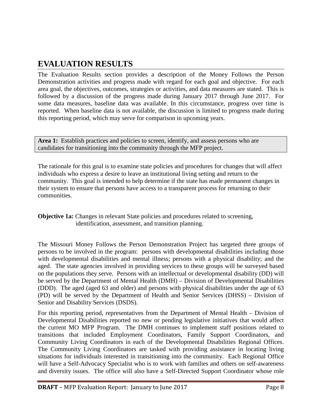# **EVALUATION RESULTS**

The Evaluation Results section provides a description of the Money Follows the Person Demonstration activities and progress made with regard for each goal and objective. For each area goal, the objectives, outcomes, strategies or activities, and data measures are stated. This is followed by a discussion of the progress made during January 2017 through June 2017. For some data measures, baseline data was available. In this circumstance, progress over time is reported. When baseline data is not available, the discussion is limited to progress made during this reporting period, which may serve for comparison in upcoming years.

Area 1: Establish practices and policies to screen, identify, and assess persons who are candidates for transitioning into the community through the MFP project.

The rationale for this goal is to examine state policies and procedures for changes that will affect individuals who express a desire to leave an institutional living setting and return to the community. This goal is intended to help determine if the state has made permanent changes in their system to ensure that persons have access to a transparent process for returning to their communities.

**Objective 1a:** Changes in relevant State policies and procedures related to screening, identification, assessment, and transition planning.

The Missouri Money Follows the Person Demonstration Project has targeted three groups of persons to be involved in the program: persons with developmental disabilities including those with developmental disabilities and mental illness; persons with a physical disability; and the aged. The state agencies involved in providing services to these groups will be surveyed based on the populations they serve. Persons with an intellectual or developmental disability (DD) will be served by the Department of Mental Health (DMH) – Division of Developmental Disabilities (DDD). The aged (aged 63 and older) and persons with physical disabilities under the age of 63 (PD) will be served by the Department of Health and Senior Services (DHSS) – Division of Senior and Disability Services (DSDS).

For this reporting period, representatives from the Department of Mental Health – Division of Developmental Disabilities reported no new or pending legislative initiatives that would affect the current MO MFP Program. The DMH continues to implement staff positions related to transitions that included Employment Coordinators, Family Support Coordinators, and Community Living Coordinators in each of the Developmental Disabilities Regional Offices. The Community Living Coordinators are tasked with providing assistance in locating living situations for individuals interested in transitioning into the community. Each Regional Office will have a Self-Advocacy Specialist who is to work with families and others on self-awareness and diversity issues. The office will also have a Self-Directed Support Coordinator whose role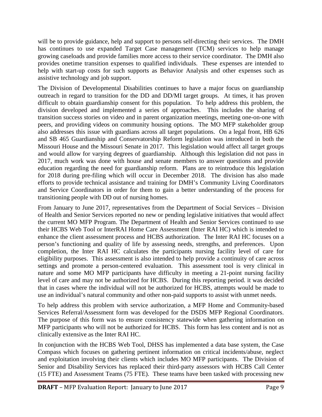will be to provide guidance, help and support to persons self-directing their services. The DMH has continues to use expanded Target Case management (TCM) services to help manage growing caseloads and provide families more access to their service coordinator. The DMH also provides onetime transition expenses to qualified individuals. These expenses are intended to help with start-up costs for such supports as Behavior Analysis and other expenses such as assistive technology and job support.

The Division of Developmental Disabilities continues to have a major focus on guardianship outreach in regard to transition for the DD and DD/MI target groups. At times, it has proven difficult to obtain guardianship consent for this population. To help address this problem, the division developed and implemented a series of approaches. This includes the sharing of transition success stories on video and in parent organization meetings, meeting one-on-one with peers, and providing videos on community housing options. The MO MFP stakeholder group also addresses this issue with guardians across all target populations. On a legal front, HB 626 and SB 465 Guardianship and Conservatorship Reform legislation was introduced in both the Missouri House and the Missouri Senate in 2017. This legislation would affect all target groups and would allow for varying degrees of guardianship. Although this legislation did not pass in 2017, much work was done with house and senate members to answer questions and provide education regarding the need for guardianship reform. Plans are to reintroduce this legislation for 2018 during pre-filing which will occur in December 2018. The division has also made efforts to provide technical assistance and training for DMH's Community Living Coordinators and Service Coordinators in order for them to gain a better understanding of the process for transitioning people with DD out of nursing homes.

From January to June 2017, representatives from the Department of Social Services – Division of Health and Senior Services reported no new or pending legislative initiatives that would affect the current MO MFP Program. The Department of Health and Senior Services continued to use their HCBS Web Tool or InterRAI Home Care Assessment (Inter RAI HC) which is intended to enhance the client assessment process and HCBS authorization. The Inter RAI HC focuses on a person's functioning and quality of life by assessing needs, strengths, and preferences. Upon completion, the Inter RAI HC calculates the participants nursing facility level of care for eligibility purposes. This assessment is also intended to help provide a continuity of care across settings and promote a person-centered evaluation. This assessment tool is very clinical in nature and some MO MFP participants have difficulty in meeting a 21-point nursing facility level of care and may not be authorized for HCBS. During this reporting period. it was decided that in cases where the individual will not be authorized for HCBS, attempts would be made to use an individual's natural community and other non-paid supports to assist with unmet needs.

To help address this problem with service authorization, a MFP Home and Community-based Services Referral/Assessment form was developed for the DSDS MFP Regional Coordinators. The purpose of this form was to ensure consistency statewide when gathering information on MFP participants who will not be authorized for HCBS. This form has less content and is not as clinically extensive as the Inter RAI HC.

In conjunction with the HCBS Web Tool, DHSS has implemented a data base system, the Case Compass which focuses on gathering pertinent information on critical incidents/abuse, neglect and exploitation involving their clients which includes MO MFP participants. The Division of Senior and Disability Services has replaced their third-party assessors with HCBS Call Center (15 FTE) and Assessment Teams (75 FTE). These teams have been tasked with processing new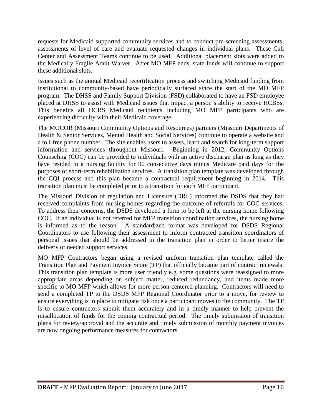requests for Medicaid supported community services and to conduct pre-screening assessments, assessments of level of care and evaluate requested changes in individual plans. These Call Center and Assessment Teams continue to be used. Additional placement slots were added to the Medically Fragile Adult Waiver. After MO MFP ends, state funds will continue to support these additional slots.

Issues such as the annual Medicaid recertification process and switching Medicaid funding from institutional to community-based have periodically surfaced since the start of the MO MFP program. The DHSS and Family Support Division (FSD) collaborated to have an FSD employee placed at DHSS to assist with Medicaid issues that impact a person's ability to receive HCBSs. This benefits all HCBS Medicaid recipients including MO MFP participants who are experiencing difficulty with their Medicaid coverage.

The MOCOR (Missouri Community Options and Resources) partners (Missouri Departments of Health & Senior Services, Mental Health and Social Services) continue to operate a website and a toll-free phone number. The site enables users to assess, learn and search for long-term support information and services throughout Missouri. Beginning in 2012, Community Options Counseling (COC) can be provided to individuals with an active discharge plan as long as they have resided in a nursing facility for 90 consecutive days minus Medicare paid days for the purposes of short-term rehabilitation services. A transition plan template was developed through the CQI process and this plan became a contractual requirement beginning in 2014. This transition plan must be completed prior to a transition for each MFP participant.

The Missouri Division of regulation and Licensure (DRL) informed the DSDS that they had received complaints from nursing homes regarding the outcome of referrals for COC services. To address their concerns, the DSDS developed a form to be left at the nursing home following COC. If an individual is not referred for MFP transition coordination services, the nursing home is informed as to the reason. A standardized format was developed for DSDS Regional Coordinators to use following their assessment to inform contracted transition coordinators of personal issues that should be addressed in the transition plan in order to better insure the delivery of needed support services.

MO MFP Contractors began using a revised uniform transition plan template called the Transition Plan and Payment Invoice Score (TP) that officially became part of contract renewals. This transition plan template is more user friendly e.g. some questions were reassigned to more appropriate areas depending on subject matter, reduced redundancy, and items made more specific to MO MFP which allows for more person-centered planning. Contractors will need to send a completed TP to the DSDS MFP Regional Coordinator prior to a move, for review to ensure everything is in place to mitigate risk once a participant moves to the community. The TP is to ensure contractors submit them accurately and in a timely manner to help prevent the misallocation of funds for the coming contractual period. The timely submission of transition plans for review/approval and the accurate and timely submission of monthly payment invoices are now ongoing performance measures for contractors.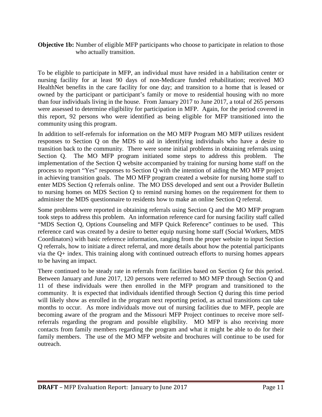#### **Objective 1b:** Number of eligible MFP participants who choose to participate in relation to those who actually transition.

To be eligible to participate in MFP, an individual must have resided in a habilitation center or nursing facility for at least 90 days of non-Medicare funded rehabilitation; received MO HealthNet benefits in the care facility for one day; and transition to a home that is leased or owned by the participant or participant's family or move to residential housing with no more than four individuals living in the house. From January 2017 to June 2017, a total of 265 persons were assessed to determine eligibility for participation in MFP. Again, for the period covered in this report, 92 persons who were identified as being eligible for MFP transitioned into the community using this program.

In addition to self-referrals for information on the MO MFP Program MO MFP utilizes resident responses to Section Q on the MDS to aid in identifying individuals who have a desire to transition back to the community. There were some initial problems in obtaining referrals using Section Q. The MO MFP program initiated some steps to address this problem. The implementation of the Section Q website accompanied by training for nursing home staff on the process to report "Yes" responses to Section Q with the intention of aiding the MO MFP project in achieving transition goals. The MO MFP program created a website for nursing home staff to enter MDS Section Q referrals online. The MO DSS developed and sent out a Provider Bulletin to nursing homes on MDS Section Q to remind nursing homes on the requirement for them to administer the MDS questionnaire to residents how to make an online Section Q referral.

Some problems were reported in obtaining referrals using Section Q and the MO MFP program took steps to address this problem. An information reference card for nursing facility staff called "MDS Section Q, Options Counseling and MFP Quick Reference" continues to be used. This reference card was created by a desire to better equip nursing home staff (Social Workers, MDS Coordinators) with basic reference information, ranging from the proper website to input Section Q referrals, how to initiate a direct referral, and more details about how the potential participants via the Q+ index. This training along with continued outreach efforts to nursing homes appears to be having an impact.

There continued to be steady rate in referrals from facilities based on Section Q for this period. Between January and June 2017, 120 persons were referred to MO MFP through Section Q and 11 of these individuals were then enrolled in the MFP program and transitioned to the community. It is expected that individuals identified through Section Q during this time period will likely show as enrolled in the program next reporting period, as actual transitions can take months to occur. As more individuals move out of nursing facilities due to MFP, people are becoming aware of the program and the Missouri MFP Project continues to receive more selfreferrals regarding the program and possible eligibility. MO MFP is also receiving more contacts from family members regarding the program and what it might be able to do for their family members. The use of the MO MFP website and brochures will continue to be used for outreach.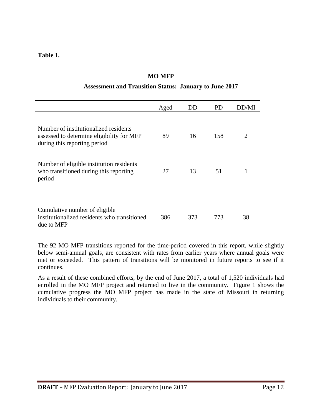**Table 1.**

| Assessment and Transition Status. January to June 2017                                                             |      |     |     |       |  |
|--------------------------------------------------------------------------------------------------------------------|------|-----|-----|-------|--|
|                                                                                                                    | Aged | DD  | PD  | DD/MI |  |
| Number of institutionalized residents<br>assessed to determine eligibility for MFP<br>during this reporting period | 89   | 16  | 158 | 2     |  |
| Number of eligible institution residents<br>who transitioned during this reporting<br>period                       | 27   | 13  | 51  |       |  |
| Cumulative number of eligible<br>institutionalized residents who transitioned<br>due to MFP                        | 386  | 373 | 773 | 38    |  |

#### **MO MFP**

#### **Assessment and Transition Status: January to June 2017**

The 92 MO MFP transitions reported for the time-period covered in this report, while slightly below semi-annual goals, are consistent with rates from earlier years where annual goals were met or exceeded. This pattern of transitions will be monitored in future reports to see if it continues.

As a result of these combined efforts, by the end of June 2017, a total of 1,520 individuals had enrolled in the MO MFP project and returned to live in the community. Figure 1 shows the cumulative progress the MO MFP project has made in the state of Missouri in returning individuals to their community.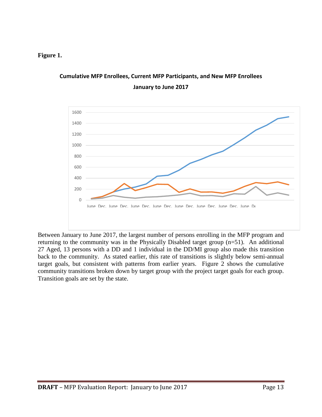#### **Figure 1.**



# **Cumulative MFP Enrollees, Current MFP Participants, and New MFP Enrollees January to June 2017**

Between January to June 2017, the largest number of persons enrolling in the MFP program and returning to the community was in the Physically Disabled target group (n=51). An additional 27 Aged, 13 persons with a DD and 1 individual in the DD/MI group also made this transition back to the community. As stated earlier, this rate of transitions is slightly below semi-annual target goals, but consistent with patterns from earlier years. Figure 2 shows the cumulative community transitions broken down by target group with the project target goals for each group. Transition goals are set by the state.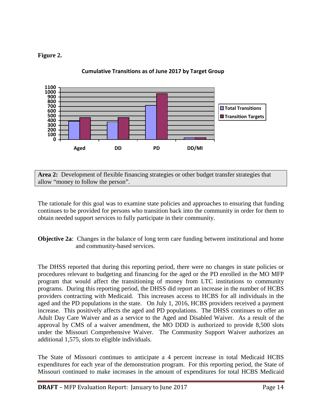#### **Figure 2.**



**Cumulative Transitions as of June 2017 by Target Group**

**Area 2:** Development of flexible financing strategies or other budget transfer strategies that allow "money to follow the person".

The rationale for this goal was to examine state policies and approaches to ensuring that funding continues to be provided for persons who transition back into the community in order for them to obtain needed support services to fully participate in their community.

**Objective 2a**: Changes in the balance of long term care funding between institutional and home and community-based services.

The DHSS reported that during this reporting period, there were no changes in state policies or procedures relevant to budgeting and financing for the aged or the PD enrolled in the MO MFP program that would affect the transitioning of money from LTC institutions to community programs. During this reporting period, the DHSS did report an increase in the number of HCBS providers contracting with Medicaid. This increases access to HCBS for all individuals in the aged and the PD populations in the state. On July 1, 2016, HCBS providers received a payment increase. This positively affects the aged and PD populations. The DHSS continues to offer an Adult Day Care Waiver and as a service to the Aged and Disabled Waiver. As a result of the approval by CMS of a waiver amendment, the MO DDD is authorized to provide 8,500 slots under the Missouri Comprehensive Waiver. The Community Support Waiver authorizes an additional 1,575, slots to eligible individuals.

The State of Missouri continues to anticipate a 4 percent increase in total Medicaid HCBS expenditures for each year of the demonstration program. For this reporting period, the State of Missouri continued to make increases in the amount of expenditures for total HCBS Medicaid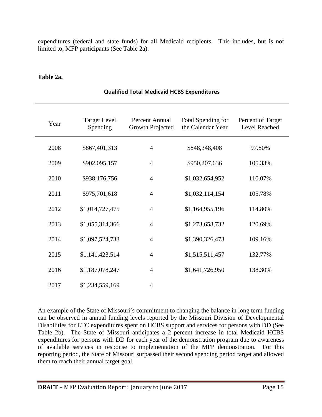expenditures (federal and state funds) for all Medicaid recipients. This includes, but is not limited to, MFP participants (See Table 2a).

#### **Table 2a.**

| Year | <b>Target Level</b><br>Spending | Percent Annual<br><b>Growth Projected</b> | <b>Total Spending for</b><br>the Calendar Year | Percent of Target<br>Level Reached |
|------|---------------------------------|-------------------------------------------|------------------------------------------------|------------------------------------|
| 2008 | \$867,401,313                   | $\overline{4}$                            | \$848,348,408                                  | 97.80%                             |
| 2009 | \$902,095,157                   | $\overline{4}$                            | \$950,207,636                                  | 105.33%                            |
| 2010 | \$938,176,756                   | $\overline{4}$                            | \$1,032,654,952                                | 110.07%                            |
| 2011 | \$975,701,618                   | $\overline{4}$                            | \$1,032,114,154                                | 105.78%                            |
| 2012 | \$1,014,727,475                 | $\overline{4}$                            | \$1,164,955,196                                | 114.80%                            |
| 2013 | \$1,055,314,366                 | $\overline{4}$                            | \$1,273,658,732                                | 120.69%                            |
| 2014 | \$1,097,524,733                 | $\overline{4}$                            | \$1,390,326,473                                | 109.16%                            |
| 2015 | \$1,141,423,514                 | $\overline{4}$                            | \$1,515,511,457                                | 132.77%                            |
| 2016 | \$1,187,078,247                 | $\overline{4}$                            | \$1,641,726,950                                | 138.30%                            |
| 2017 | \$1,234,559,169                 | $\overline{4}$                            |                                                |                                    |

#### **Qualified Total Medicaid HCBS Expenditures**

An example of the State of Missouri's commitment to changing the balance in long term funding can be observed in annual funding levels reported by the Missouri Division of Developmental Disabilities for LTC expenditures spent on HCBS support and services for persons with DD (See Table 2b). The State of Missouri anticipates a 2 percent increase in total Medicaid HCBS expenditures for persons with DD for each year of the demonstration program due to awareness of available services in response to implementation of the MFP demonstration. For this reporting period, the State of Missouri surpassed their second spending period target and allowed them to reach their annual target goal.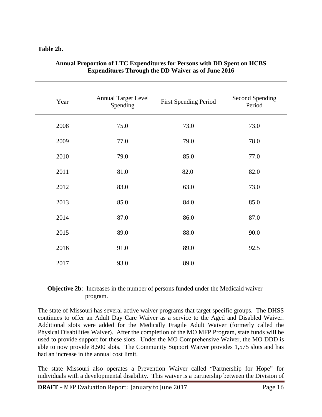#### **Table 2b.**

| Year | <b>Annual Target Level</b><br>Spending | <b>First Spending Period</b> | <b>Second Spending</b><br>Period |
|------|----------------------------------------|------------------------------|----------------------------------|
| 2008 | 75.0                                   | 73.0                         | 73.0                             |
| 2009 | 77.0                                   | 79.0                         | 78.0                             |
| 2010 | 79.0                                   | 85.0                         | 77.0                             |
| 2011 | 81.0                                   | 82.0                         | 82.0                             |
| 2012 | 83.0                                   | 63.0                         | 73.0                             |
| 2013 | 85.0                                   | 84.0                         | 85.0                             |
| 2014 | 87.0                                   | 86.0                         | 87.0                             |
| 2015 | 89.0                                   | 88.0                         | 90.0                             |
| 2016 | 91.0                                   | 89.0                         | 92.5                             |
| 2017 | 93.0                                   | 89.0                         |                                  |

#### **Annual Proportion of LTC Expenditures for Persons with DD Spent on HCBS Expenditures Through the DD Waiver as of June 2016**

#### **Objective 2b:** Increases in the number of persons funded under the Medicaid waiver program.

The state of Missouri has several active waiver programs that target specific groups. The DHSS continues to offer an Adult Day Care Waiver as a service to the Aged and Disabled Waiver. Additional slots were added for the Medically Fragile Adult Waiver (formerly called the Physical Disabilities Waiver). After the completion of the MO MFP Program, state funds will be used to provide support for these slots. Under the MO Comprehensive Waiver, the MO DDD is able to now provide 8,500 slots. The Community Support Waiver provides 1,575 slots and has had an increase in the annual cost limit.

The state Missouri also operates a Prevention Waiver called "Partnership for Hope" for individuals with a developmental disability. This waiver is a partnership between the Division of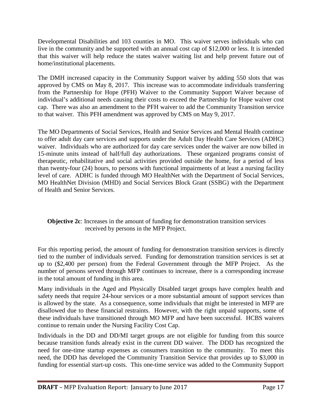Developmental Disabilities and 103 counties in MO. This waiver serves individuals who can live in the community and be supported with an annual cost cap of \$12,000 or less. It is intended that this waiver will help reduce the states waiver waiting list and help prevent future out of home/institutional placements.

The DMH increased capacity in the Community Support waiver by adding 550 slots that was approved by CMS on May 8, 2017. This increase was to accommodate individuals transferring from the Partnership for Hope (PFH) Waiver to the Community Support Waiver because of individual's additional needs causing their costs to exceed the Partnership for Hope waiver cost cap. There was also an amendment to the PFH waiver to add the Community Transition service to that waiver. This PFH amendment was approved by CMS on May 9, 2017.

The MO Departments of Social Services, Health and Senior Services and Mental Health continue to offer adult day care services and supports under the Adult Day Health Care Services (ADHC) waiver. Individuals who are authorized for day care services under the waiver are now billed in 15-minute units instead of half/full day authorizations. These organized programs consist of therapeutic, rehabilitative and social activities provided outside the home, for a period of less than twenty-four (24) hours, to persons with functional impairments of at least a nursing facility level of care. ADHC is funded through MO HealthNet with the Department of Social Services, MO HealthNet Division (MHD) and Social Services Block Grant (SSBG) with the Department of Health and Senior Services.

#### **Objective 2c**: Increases in the amount of funding for demonstration transition services received by persons in the MFP Project.

For this reporting period, the amount of funding for demonstration transition services is directly tied to the number of individuals served. Funding for demonstration transition services is set at up to (\$2,400 per person) from the Federal Government through the MFP Project. As the number of persons served through MFP continues to increase, there is a corresponding increase in the total amount of funding in this area.

Many individuals in the Aged and Physically Disabled target groups have complex health and safety needs that require 24-hour services or a more substantial amount of support services than is allowed by the state. As a consequence, some individuals that might be interested in MFP are disallowed due to these financial restraints. However, with the right unpaid supports, some of these individuals have transitioned through MO MFP and have been successful. HCBS waivers continue to remain under the Nursing Facility Cost Cap.

Individuals in the DD and DD/MI target groups are not eligible for funding from this source because transition funds already exist in the current DD waiver. The DDD has recognized the need for one-time startup expenses as consumers transition to the community. To meet this need, the DDD has developed the Community Transition Service that provides up to \$3,000 in funding for essential start-up costs. This one-time service was added to the Community Support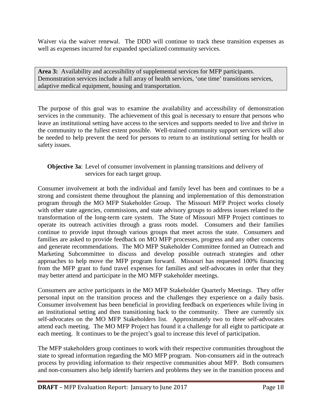Waiver via the waiver renewal. The DDD will continue to track these transition expenses as well as expenses incurred for expanded specialized community services.

**Area 3:** Availability and accessibility of supplemental services for MFP participants. Demonstration services include a full array of health services, 'one time' transitions services, adaptive medical equipment, housing and transportation.

The purpose of this goal was to examine the availability and accessibility of demonstration services in the community. The achievement of this goal is necessary to ensure that persons who leave an institutional setting have access to the services and supports needed to live and thrive in the community to the fullest extent possible. Well-trained community support services will also be needed to help prevent the need for persons to return to an institutional setting for health or safety issues.

#### **Objective 3a**: Level of consumer involvement in planning transitions and delivery of services for each target group.

Consumer involvement at both the individual and family level has been and continues to be a strong and consistent theme throughout the planning and implementation of this demonstration program through the MO MFP Stakeholder Group. The Missouri MFP Project works closely with other state agencies, commissions, and state advisory groups to address issues related to the transformation of the long-term care system. The State of Missouri MFP Project continues to operate its outreach activities through a grass roots model. Consumers and their families continue to provide input through various groups that meet across the state. Consumers and families are asked to provide feedback on MO MFP processes, progress and any other concerns and generate recommendations. The MO MFP Stakeholder Committee formed an Outreach and Marketing Subcommittee to discuss and develop possible outreach strategies and other approaches to help move the MFP program forward. Missouri has requested 100% financing from the MFP grant to fund travel expenses for families and self-advocates in order that they may better attend and participate in the MO MFP stakeholder meetings.

Consumers are active participants in the MO MFP Stakeholder Quarterly Meetings. They offer personal input on the transition process and the challenges they experience on a daily basis. Consumer involvement has been beneficial in providing feedback on experiences while living in an institutional setting and then transitioning back to the community. There are currently six self-advocates on the MO MFP Stakeholders list. Approximately two to three self-advocates attend each meeting. The MO MFP Project has found it a challenge for all eight to participate at each meeting. It continues to be the project's goal to increase this level of participation.

The MFP stakeholders group continues to work with their respective communities throughout the state to spread information regarding the MO MFP program. Non-consumers aid in the outreach process by providing information to their respective communities about MFP. Both consumers and non-consumers also help identify barriers and problems they see in the transition process and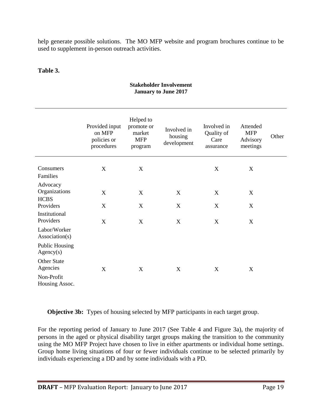help generate possible solutions. The MO MFP website and program brochures continue to be used to supplement in-person outreach activities.

#### **Table 3.**

|                                          | Provided input<br>on MFP<br>policies or<br>procedures | Helped to<br>promote or<br>market<br><b>MFP</b><br>program | Involved in<br>housing<br>development | Involved in<br>Quality of<br>Care<br>assurance | Attended<br><b>MFP</b><br>Advisory<br>meetings | Other |
|------------------------------------------|-------------------------------------------------------|------------------------------------------------------------|---------------------------------------|------------------------------------------------|------------------------------------------------|-------|
| Consumers<br>Families                    | X                                                     | X                                                          |                                       | $\mathbf X$                                    | $\boldsymbol{\mathrm{X}}$                      |       |
| Advocacy<br>Organizations<br><b>HCBS</b> | $\boldsymbol{X}$                                      | $\mathbf X$                                                | X                                     | X                                              | X                                              |       |
| Providers<br>Institutional<br>Providers  | X<br>X                                                | X<br>X                                                     | X<br>X                                | X<br>$\mathbf X$                               | X<br>X                                         |       |
| Labor/Worker<br>Association(s)           |                                                       |                                                            |                                       |                                                |                                                |       |
| <b>Public Housing</b><br>Agency(s)       |                                                       |                                                            |                                       |                                                |                                                |       |
| Other State<br>Agencies                  | X                                                     | $\mathbf X$                                                | $\mathbf X$                           | $\mathbf X$                                    | $\mathbf X$                                    |       |
| Non-Profit<br>Housing Assoc.             |                                                       |                                                            |                                       |                                                |                                                |       |

#### **Stakeholder Involvement January to June 2017**

**Objective 3b:** Types of housing selected by MFP participants in each target group.

For the reporting period of January to June 2017 (See Table 4 and Figure 3a), the majority of persons in the aged or physical disability target groups making the transition to the community using the MO MFP Project have chosen to live in either apartments or individual home settings. Group home living situations of four or fewer individuals continue to be selected primarily by individuals experiencing a DD and by some individuals with a PD.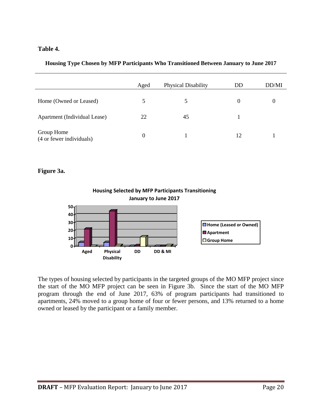#### **Table 4.**

|  |  | Housing Type Chosen by MFP Participants Who Transitioned Between January to June 2017 |  |  |  |
|--|--|---------------------------------------------------------------------------------------|--|--|--|
|  |  |                                                                                       |  |  |  |
|  |  |                                                                                       |  |  |  |

|                                        | Aged             | Physical Disability | DD       | DD/MI |
|----------------------------------------|------------------|---------------------|----------|-------|
| Home (Owned or Leased)                 |                  |                     | $\theta$ |       |
| Apartment (Individual Lease)           | 22               | 45                  |          |       |
| Group Home<br>(4 or fewer individuals) | $\boldsymbol{0}$ |                     | 12       |       |

#### **Figure 3a.**



The types of housing selected by participants in the targeted groups of the MO MFP project since the start of the MO MFP project can be seen in Figure 3b. Since the start of the MO MFP program through the end of June 2017, 63% of program participants had transitioned to apartments, 24% moved to a group home of four or fewer persons, and 13% returned to a home owned or leased by the participant or a family member.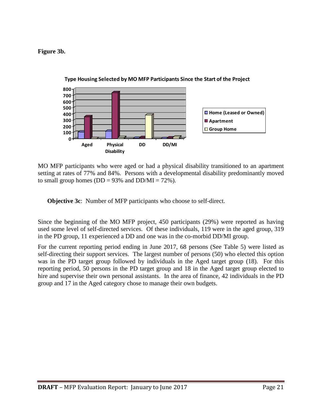#### **Figure 3b.**



**Type Housing Selected by MO MFP Participants Since the Start of the Project**

MO MFP participants who were aged or had a physical disability transitioned to an apartment setting at rates of 77% and 84%. Persons with a developmental disability predominantly moved to small group homes ( $DD = 93\%$  and  $DD/MI = 72\%$ ).

**Objective 3c**: Number of MFP participants who choose to self-direct.

Since the beginning of the MO MFP project, 450 participants (29%) were reported as having used some level of self-directed services. Of these individuals, 119 were in the aged group, 319 in the PD group, 11 experienced a DD and one was in the co-morbid DD/MI group.

For the current reporting period ending in June 2017, 68 persons (See Table 5) were listed as self-directing their support services. The largest number of persons (50) who elected this option was in the PD target group followed by individuals in the Aged target group (18). For this reporting period, 50 persons in the PD target group and 18 in the Aged target group elected to hire and supervise their own personal assistants. In the area of finance, 42 individuals in the PD group and 17 in the Aged category chose to manage their own budgets.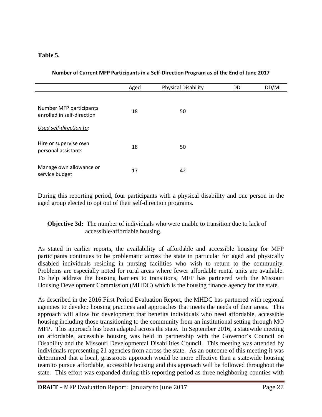#### **Table 5.**

|  | Number of Current MFP Participants in a Self-Direction Program as of the End of June 2017 |
|--|-------------------------------------------------------------------------------------------|
|  |                                                                                           |

|                                                       | Aged | <b>Physical Disability</b> | DD | DD/MI |
|-------------------------------------------------------|------|----------------------------|----|-------|
| Number MFP participants<br>enrolled in self-direction | 18   | 50                         |    |       |
| Used self-direction to:                               |      |                            |    |       |
| Hire or supervise own<br>personal assistants          | 18   | 50                         |    |       |
| Manage own allowance or<br>service budget             | 17   | 42                         |    |       |

During this reporting period, four participants with a physical disability and one person in the aged group elected to opt out of their self-direction programs.

#### **Objective 3d:** The number of individuals who were unable to transition due to lack of accessible/affordable housing.

As stated in earlier reports, the availability of affordable and accessible housing for MFP participants continues to be problematic across the state in particular for aged and physically disabled individuals residing in nursing facilities who wish to return to the community. Problems are especially noted for rural areas where fewer affordable rental units are available. To help address the housing barriers to transitions, MFP has partnered with the Missouri Housing Development Commission (MHDC) which is the housing finance agency for the state.

As described in the 2016 First Period Evaluation Report, the MHDC has partnered with regional agencies to develop housing practices and approaches that meets the needs of their areas. This approach will allow for development that benefits individuals who need affordable, accessible housing including those transitioning to the community from an institutional setting through MO MFP. This approach has been adapted across the state. In September 2016, a statewide meeting on affordable, accessible housing was held in partnership with the Governor's Council on Disability and the Missouri Developmental Disabilities Council. This meeting was attended by individuals representing 21 agencies from across the state. As an outcome of this meeting it was determined that a local, grassroots approach would be more effective than a statewide housing team to pursue affordable, accessible housing and this approach will be followed throughout the state. This effort was expanded during this reporting period as three neighboring counties with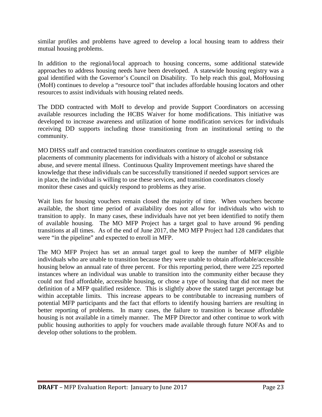similar profiles and problems have agreed to develop a local housing team to address their mutual housing problems.

In addition to the regional/local approach to housing concerns, some additional statewide approaches to address housing needs have been developed. A statewide housing registry was a goal identified with the Governor's Council on Disability. To help reach this goal, MoHousing (MoH) continues to develop a "resource tool" that includes affordable housing locators and other resources to assist individuals with housing related needs.

The DDD contracted with MoH to develop and provide Support Coordinators on accessing available resources including the HCBS Waiver for home modifications. This initiative was developed to increase awareness and utilization of home modification services for individuals receiving DD supports including those transitioning from an institutional setting to the community.

MO DHSS staff and contracted transition coordinators continue to struggle assessing risk placements of community placements for individuals with a history of alcohol or substance abuse, and severe mental illness. Continuous Quality Improvement meetings have shared the knowledge that these individuals can be successfully transitioned if needed support services are in place, the individual is willing to use these services, and transition coordinators closely monitor these cases and quickly respond to problems as they arise.

Wait lists for housing vouchers remain closed the majority of time. When vouchers become available, the short time period of availability does not allow for individuals who wish to transition to apply. In many cases, these individuals have not yet been identified to notify them of available housing. The MO MFP Project has a target goal to have around 96 pending transitions at all times. As of the end of June 2017, the MO MFP Project had 128 candidates that were "in the pipeline" and expected to enroll in MFP.

The MO MFP Project has set an annual target goal to keep the number of MFP eligible individuals who are unable to transition because they were unable to obtain affordable/accessible housing below an annual rate of three percent. For this reporting period, there were 225 reported instances where an individual was unable to transition into the community either because they could not find affordable, accessible housing, or chose a type of housing that did not meet the definition of a MFP qualified residence. This is slightly above the stated target percentage but within acceptable limits. This increase appears to be contributable to increasing numbers of potential MFP participants and the fact that efforts to identify housing barriers are resulting in better reporting of problems. In many cases, the failure to transition is because affordable housing is not available in a timely manner. The MFP Director and other continue to work with public housing authorities to apply for vouchers made available through future NOFAs and to develop other solutions to the problem.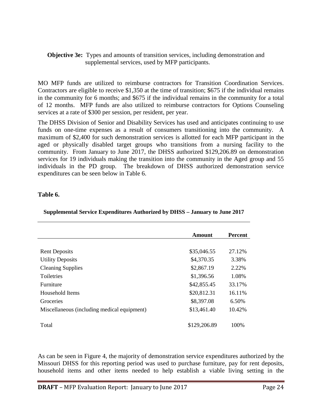#### **Objective 3e:** Types and amounts of transition services, including demonstration and supplemental services, used by MFP participants.

MO MFP funds are utilized to reimburse contractors for Transition Coordination Services. Contractors are eligible to receive \$1,350 at the time of transition; \$675 if the individual remains in the community for 6 months; and \$675 if the individual remains in the community for a total of 12 months. MFP funds are also utilized to reimburse contractors for Options Counseling services at a rate of \$300 per session, per resident, per year.

The DHSS Division of Senior and Disability Services has used and anticipates continuing to use funds on one-time expenses as a result of consumers transitioning into the community. A maximum of \$2,400 for such demonstration services is allotted for each MFP participant in the aged or physically disabled target groups who transitions from a nursing facility to the community. From January to June 2017, the DHSS authorized \$129,206.89 on demonstration services for 19 individuals making the transition into the community in the Aged group and 55 individuals in the PD group. The breakdown of DHSS authorized demonstration service expenditures can be seen below in Table 6.

#### **Table 6.**

|                                             | Amount       | <b>Percent</b> |
|---------------------------------------------|--------------|----------------|
|                                             |              |                |
| <b>Rent Deposits</b>                        | \$35,046.55  | 27.12%         |
| <b>Utility Deposits</b>                     | \$4,370.35   | 3.38%          |
| <b>Cleaning Supplies</b>                    | \$2,867.19   | 2.22%          |
| <b>Toiletries</b>                           | \$1,396.56   | 1.08%          |
| Furniture                                   | \$42,855.45  | 33.17%         |
| Household Items                             | \$20,812.31  | 16.11%         |
| Groceries                                   | \$8,397.08   | 6.50%          |
| Miscellaneous (including medical equipment) | \$13,461.40  | 10.42%         |
| Total                                       | \$129,206.89 | 100%           |

#### **Supplemental Service Expenditures Authorized by DHSS – January to June 2017**

As can be seen in Figure 4, the majority of demonstration service expenditures authorized by the Missouri DHSS for this reporting period was used to purchase furniture, pay for rent deposits, household items and other items needed to help establish a viable living setting in the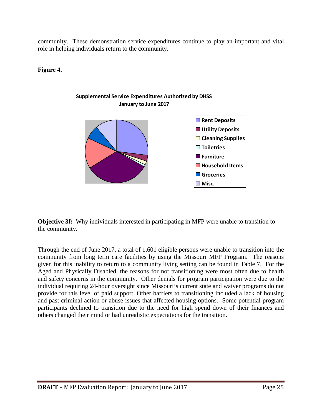community. These demonstration service expenditures continue to play an important and vital role in helping individuals return to the community.

**Figure 4.**



**Objective 3f:** Why individuals interested in participating in MFP were unable to transition to the community.

Through the end of June 2017, a total of 1,601 eligible persons were unable to transition into the community from long term care facilities by using the Missouri MFP Program. The reasons given for this inability to return to a community living setting can be found in Table 7. For the Aged and Physically Disabled, the reasons for not transitioning were most often due to health and safety concerns in the community. Other denials for program participation were due to the individual requiring 24-hour oversight since Missouri's current state and waiver programs do not provide for this level of paid support. Other barriers to transitioning included a lack of housing and past criminal action or abuse issues that affected housing options. Some potential program participants declined to transition due to the need for high spend down of their finances and others changed their mind or had unrealistic expectations for the transition.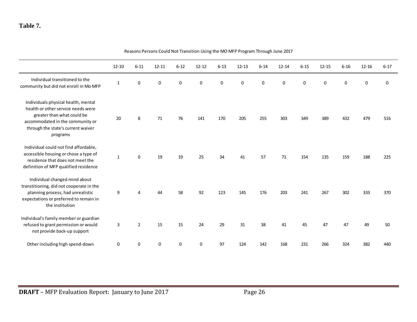### **Table 7.**

|                                                                                                                                                                                               | $12 - 10$    | $6 - 11$       | $12 - 11$   | $6 - 12$ | $12 - 12$   | $6 - 13$  | $12 - 13$ | $6 - 14$    | $12 - 14$ | $6 - 15$ | $12 - 15$   | $6 - 16$ | $12 - 16$ | $6 - 17$  |
|-----------------------------------------------------------------------------------------------------------------------------------------------------------------------------------------------|--------------|----------------|-------------|----------|-------------|-----------|-----------|-------------|-----------|----------|-------------|----------|-----------|-----------|
| Individual transitioned to the<br>community but did not enroll in Mo MFP                                                                                                                      | 1            | 0              | 0           | 0        | $\mathbf 0$ | $\pmb{0}$ | $\pmb{0}$ | $\mathbf 0$ | $\Omega$  | 0        | $\mathbf 0$ | 0        | 0         | $\pmb{0}$ |
| Individuals physical health, mental<br>health or other service needs were<br>greater than what could be<br>accommodated in the community or<br>through the state's current waiver<br>programs | 20           | 8              | 71          | 76       | 141         | 170       | 205       | 255         | 303       | 349      | 389         | 432      | 479       | 516       |
| Individual could not find affordable,<br>accessible housing or chose a type of<br>residence that does not meet the<br>definition of MFP qualified residence                                   | $\mathbf{1}$ | 0              | 19          | 19       | 25          | 34        | 41        | 57          | 71        | 154      | 135         | 159      | 188       | 225       |
| Individual changed mind about<br>transtitioning, did not cooperate in the<br>planning process, had unrealistic<br>expectations or preferred to remain in<br>the institution                   | 9            |                | 44          | 58       | 92          | 123       | 145       | 176         | 203       | 241      | 267         | 302      | 333       | 370       |
| Individual's family member or guardian<br>refused to grant permission or would<br>not provide back-up support                                                                                 | 3            | $\overline{2}$ | 15          | 15       | 24          | 29        | 31        | 38          | 41        | 45       | 47          | 47       | 49        | 50        |
| Other including high spend-down                                                                                                                                                               | $\mathbf 0$  | 0              | $\mathbf 0$ | 0        | $\mathbf 0$ | 97        | 124       | 142         | 168       | 231      | 266         | 324      | 382       | 440       |

Reasons Persons Could Not Transition Using the MO MFP Program Through June 2017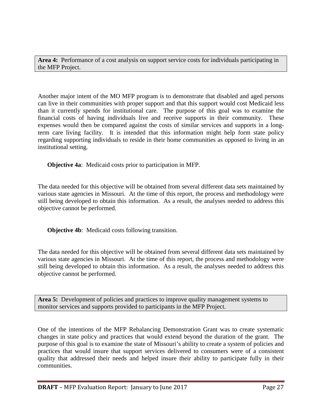**Area 4:** Performance of a cost analysis on support service costs for individuals participating in the MFP Project.

Another major intent of the MO MFP program is to demonstrate that disabled and aged persons can live in their communities with proper support and that this support would cost Medicaid less than it currently spends for institutional care. The purpose of this goal was to examine the financial costs of having individuals live and receive supports in their community. These expenses would then be compared against the costs of similar services and supports in a longterm care living facility. It is intended that this information might help form state policy regarding supporting individuals to reside in their home communities as opposed to living in an institutional setting.

**Objective 4a**: Medicaid costs prior to participation in MFP.

The data needed for this objective will be obtained from several different data sets maintained by various state agencies in Missouri. At the time of this report, the process and methodology were still being developed to obtain this information. As a result, the analyses needed to address this objective cannot be performed.

**Objective 4b**: Medicaid costs following transition.

The data needed for this objective will be obtained from several different data sets maintained by various state agencies in Missouri. At the time of this report, the process and methodology were still being developed to obtain this information. As a result, the analyses needed to address this objective cannot be performed.

**Area 5:** Development of policies and practices to improve quality management systems to monitor services and supports provided to participants in the MFP Project.

One of the intentions of the MFP Rebalancing Demonstration Grant was to create systematic changes in state policy and practices that would extend beyond the duration of the grant. The purpose of this goal is to examine the state of Missouri's ability to create a system of policies and practices that would insure that support services delivered to consumers were of a consistent quality that addressed their needs and helped insure their ability to participate fully in their communities.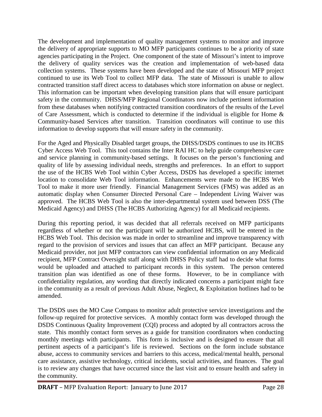The development and implementation of quality management systems to monitor and improve the delivery of appropriate supports to MO MFP participants continues to be a priority of state agencies participating in the Project. One component of the state of Missouri's intent to improve the delivery of quality services was the creation and implementation of web-based data collection systems. These systems have been developed and the state of Missouri MFP project continued to use its Web Tool to collect MFP data. The state of Missouri is unable to allow contracted transition staff direct access to databases which store information on abuse or neglect. This information can be important when developing transition plans that will ensure participant safety in the community. DHSS/MFP Regional Coordinators now include pertinent information from these databases when notifying contracted transition coordinators of the results of the Level of Care Assessment, which is conducted to determine if the individual is eligible for Home & Community-based Services after transition. Transition coordinators will continue to use this information to develop supports that will ensure safety in the community.

For the Aged and Physically Disabled target groups, the DHSS/DSDS continues to use its HCBS Cyber Access Web Tool. This tool contains the Inter RAI HC to help guide comprehensive care and service planning in community-based settings. It focuses on the person's functioning and quality of life by assessing individual needs, strengths and preferences. In an effort to support the use of the HCBS Web Tool within Cyber Access, DSDS has developed a specific internet location to consolidate Web Tool information. Enhancements were made to the HCBS Web Tool to make it more user friendly. Financial Management Services (FMS) was added as an automatic display when Consumer Directed Personal Care – Independent Living Waiver was approved. The HCBS Web Tool is also the inter-departmental system used between DSS (The Medicaid Agency) and DHSS (The HCBS Authorizing Agency) for all Medicaid recipients.

During this reporting period, it was decided that all referrals received on MFP participants regardless of whether or not the participant will be authorized HCBS, will be entered in the HCBS Web Tool. This decision was made in order to streamline and improve transparency with regard to the provision of services and issues that can affect an MFP participant. Because any Medicaid provider, not just MFP contractors can view confidential information on any Medicaid recipient, MFP Contract Oversight staff along with DHSS Policy staff had to decide what forms would be uploaded and attached to participant records in this system. The person centered transition plan was identified as one of these forms. However, to be in compliance with confidentiality regulation, any wording that directly indicated concerns a participant might face in the community as a result of previous Adult Abuse, Neglect, & Exploitation hotlines had to be amended.

The DSDS uses the MO Case Compass to monitor adult protective service investigations and the follow-up required for protective services. A monthly contact form was developed through the DSDS Continuous Quality Improvement (CQI) process and adopted by all contractors across the state. This monthly contact form serves as a guide for transition coordinators when conducting monthly meetings with participants. This form is inclusive and is designed to ensure that all pertinent aspects of a participant's life is reviewed. Sections on the form include substance abuse, access to community services and barriers to this access, medical/mental health, personal care assistance, assistive technology, critical incidents, social activities, and finances. The goal is to review any changes that have occurred since the last visit and to ensure health and safety in the community.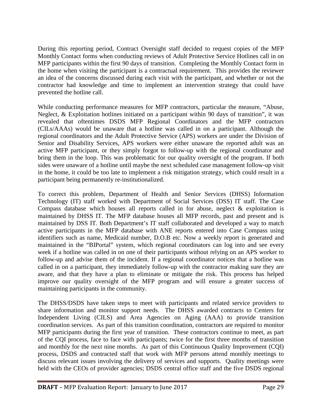During this reporting period, Contract Oversight staff decided to request copies of the MFP Monthly Contact forms when conducting reviews of Adult Protective Service Hotlines call in on MFP participants within the first 90 days of transition. Completing the Monthly Contact form in the home when visiting the participant is a contractual requirement. This provides the reviewer an idea of the concerns discussed during each visit with the participant, and whether or not the contractor had knowledge and time to implement an intervention strategy that could have prevented the hotline call.

While conducting performance measures for MFP contractors, particular the measure, "Abuse, Neglect, & Exploitation hotlines initiated on a participant within 90 days of transition", it was revealed that oftentimes DSDS MFP Regional Coordinators and the MFP contractors (CILs/AAAs) would be unaware that a hotline was called in on a participant. Although the regional coordinators and the Adult Protective Service (APS) workers are under the Division of Senior and Disability Services, APS workers were either unaware the reported adult was an active MFP participant, or they simply forgot to follow-up with the regional coordinator and bring them in the loop. This was problematic for our quality oversight of the program. If both sides were unaware of a hotline until maybe the next scheduled case management follow-up visit in the home, it could be too late to implement a risk mitigation strategy, which could result in a participant being permanently re-institutionalized.

To correct this problem, Department of Health and Senior Services (DHSS) Information Technology (IT) staff worked with Department of Social Services (DSS) IT staff. The Case Compass database which houses all reports called in for abuse, neglect & exploitation is maintained by DHSS IT. The MFP database houses all MFP records, past and present and is maintained by DSS IT. Both Department's IT staff collaborated and developed a way to match active participants in the MFP database with ANE reports entered into Case Compass using identifiers such as name, Medicaid number, D.O.B etc. Now a weekly report is generated and maintained in the "BIPortal" system, which regional coordinators can log into and see every week if a hotline was called in on one of their participants without relying on an APS worker to follow-up and advise them of the incident. If a regional coordinator notices that a hotline was called in on a participant, they immediately follow-up with the contractor making sure they are aware, and that they have a plan to eliminate or mitigate the risk. This process has helped improve our quality oversight of the MFP program and will ensure a greater success of maintaining participants in the community.

The DHSS/DSDS have taken steps to meet with participants and related service providers to share information and monitor support needs. The DHSS awarded contracts to Centers for Independent Living (CILS) and Area Agencies on Aging (AAA) to provide transition coordination services. As part of this transition coordination, contractors are required to monitor MFP participants during the first year of transition. These contractors continue to meet, as part of the CQI process, face to face with participants; twice for the first three months of transition and monthly for the next nine months. As part of this Continuous Quality Improvement (CQI) process, DSDS and contracted staff that work with MFP persons attend monthly meetings to discuss relevant issues involving the delivery of services and supports. Quality meetings were held with the CEOs of provider agencies; DSDS central office staff and the five DSDS regional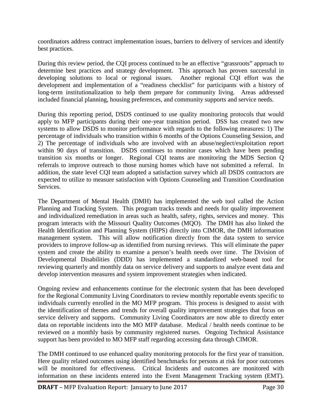coordinators address contract implementation issues, barriers to delivery of services and identify best practices.

During this review period, the CQI process continued to be an effective "grassroots" approach to determine best practices and strategy development. This approach has proven successful in developing solutions to local or regional issues. Another regional CQI effort was the development and implementation of a "readiness checklist" for participants with a history of long-term institutionalization to help them prepare for community living. Areas addressed included financial planning, housing preferences, and community supports and service needs.

During this reporting period, DSDS continued to use quality monitoring protocols that would apply to MFP participants during their one-year transition period. DSS has created two new systems to allow DSDS to monitor performance with regards to the following measures: 1) The percentage of individuals who transition within 6 months of the Options Counseling Session, and 2) The percentage of individuals who are involved with an abuse/neglect/exploitation report within 90 days of transition. DSDS continues to monitor cases which have been pending transition six months or longer. Regional CQI teams are monitoring the MDS Section Q referrals to improve outreach to those nursing homes which have not submitted a referral. In addition, the state level CQI team adopted a satisfaction survey which all DSDS contractors are expected to utilize to measure satisfaction with Options Counseling and Transition Coordination **Services** 

The Department of Mental Health (DMH) has implemented the web tool called the Action Planning and Tracking System. This program tracks trends and needs for quality improvement and individualized remediation in areas such as health, safety, rights, services and money. This program interacts with the Missouri Quality Outcomes (MQO). The DMH has also linked the Health Identification and Planning System (HIPS) directly into CIMOR, the DMH information management system. This will allow notification directly from the data system to service providers to improve follow-up as identified from nursing reviews. This will eliminate the paper system and create the ability to examine a person's health needs over time. The Division of Developmental Disabilities (DDD) has implemented a standardized web-based tool for reviewing quarterly and monthly data on service delivery and supports to analyze event data and develop intervention measures and system improvement strategies when indicated.

Ongoing review and enhancements continue for the electronic system that has been developed for the Regional Community Living Coordinators to review monthly reportable events specific to individuals currently enrolled in the MO MFP program. This process is designed to assist with the identification of themes and trends for overall quality improvement strategies that focus on service delivery and supports. Community Living Coordinators are now able to directly enter data on reportable incidents into the MO MFP database. Medical / health needs continue to be reviewed on a monthly basis by community registered nurses. Ongoing Technical Assistance support has been provided to MO MFP staff regarding accessing data through CIMOR.

The DMH continued to use enhanced quality monitoring protocols for the first year of transition. Here quality related outcomes using identified benchmarks for persons at risk for poor outcomes will be monitored for effectiveness. Critical Incidents and outcomes are monitored with information on these incidents entered into the Event Management Tracking system (EMT).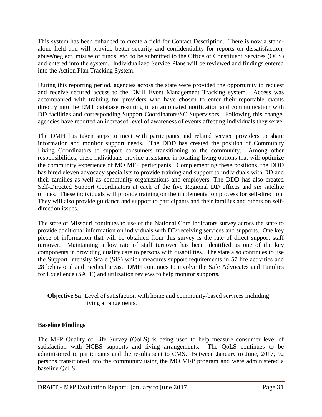This system has been enhanced to create a field for Contact Description. There is now a standalone field and will provide better security and confidentiality for reports on dissatisfaction, abuse/neglect, misuse of funds, etc. to be submitted to the Office of Constituent Services (OCS) and entered into the system. Individualized Service Plans will be reviewed and findings entered into the Action Plan Tracking System.

During this reporting period, agencies across the state were provided the opportunity to request and receive secured access to the DMH Event Management Tracking system. Access was accompanied with training for providers who have chosen to enter their reportable events directly into the EMT database resulting in an automated notification and communication with DD facilities and corresponding Support Coordinators/SC Supervisors. Following this change, agencies have reported an increased level of awareness of events affecting individuals they serve.

The DMH has taken steps to meet with participants and related service providers to share information and monitor support needs. The DDD has created the position of Community Living Coordinators to support consumers transitioning to the community. Among other responsibilities, these individuals provide assistance in locating living options that will optimize the community experience of MO MFP participants. Complementing these positions, the DDD has hired eleven advocacy specialists to provide training and support to individuals with DD and their families as well as community organizations and employers. The DDD has also created Self-Directed Support Coordinators at each of the five Regional DD offices and six satellite offices. These individuals will provide training on the implementation process for self-direction. They will also provide guidance and support to participants and their families and others on selfdirection issues.

The state of Missouri continues to use of the National Core Indicators survey across the state to provide additional information on individuals with DD receiving services and supports. One key piece of information that will be obtained from this survey is the rate of direct support staff turnover. Maintaining a low rate of staff turnover has been identified as one of the key components in providing quality care to persons with disabilities. The state also continues to use the Support Intensity Scale (SIS) which measures support requirements in 57 life activities and 28 behavioral and medical areas. DMH continues to involve the Safe Advocates and Families for Excellence (SAFE) and utilization reviews to help monitor supports.

#### **Objective 5a**: Level of satisfaction with home and community-based services including living arrangements.

#### **Baseline Findings**

The MFP Quality of Life Survey (QoLS) is being used to help measure consumer level of satisfaction with HCBS supports and living arrangements. The QoLS continues to be administered to participants and the results sent to CMS. Between January to June, 2017, 92 persons transitioned into the community using the MO MFP program and were administered a baseline QoLS.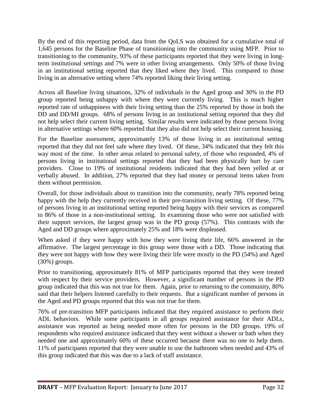By the end of this reporting period, data from the QoLS was obtained for a cumulative total of 1,645 persons for the Baseline Phase of transitioning into the community using MFP. Prior to transitioning to the community, 93% of these participants reported that they were living in longterm institutional settings and 7% were in other living arrangements. Only 50% of those living in an institutional setting reported that they liked where they lived. This compared to those living in an alternative setting where 74% reported liking their living setting.

Across all Baseline living situations, 32% of individuals in the Aged group and 30% in the PD group reported being unhappy with where they were currently living. This is much higher reported rate of unhappiness with their living setting than the 25% reported by those in both the DD and DD/MI groups. 68% of persons living in an institutional setting reported that they did not help select their current living setting. Similar results were indicated by those persons living in alternative settings where 60% reported that they also did not help select their current housing.

For the Baseline assessment, approximately 13% of those living in an institutional setting reported that they did not feel safe where they lived. Of these, 34% indicated that they felt this way most of the time. In other areas related to personal safety, of those who responded, 4% of persons living in institutional settings reported that they had been physically hurt by care providers. Close to 19% of institutional residents indicated that they had been yelled at or verbally abused. In addition, 27% reported that they had money or personal items taken from them without permission.

Overall, for those individuals about to transition into the community, nearly 78% reported being happy with the help they currently received in their pre-transition living setting. Of these, 77% of persons living in an institutional setting reported being happy with their services as compared to 86% of those in a non-institutional setting. In examining those who were not satisfied with their support services, the largest group was in the PD group (57%). This contrasts with the Aged and DD groups where approximately 25% and 18% were displeased.

When asked if they were happy with how they were living their life, 66% answered in the affirmative. The largest percentage in this group were those with a DD. Those indicating that they were not happy with how they were living their life were mostly in the PD (54%) and Aged (30%) groups.

Prior to transitioning, approximately 81% of MFP participants reported that they were treated with respect by their service providers. However, a significant number of persons in the PD group indicated that this was not true for them. Again, prior to returning to the community, 80% said that their helpers listened carefully to their requests. But a significant number of persons in the Aged and PD groups reported that this was not true for them.

76% of pre-transition MFP participants indicated that they required assistance to perform their ADL behaviors. While some participants in all groups required assistance for their ADLs, assistance was reported as being needed more often for persons in the DD groups. 19% of respondents who required assistance indicated that they went without a shower or bath when they needed one and approximately 60% of these occurred because there was no one to help them. 11% of participants reported that they were unable to use the bathroom when needed and 43% of this group indicated that this was due to a lack of staff assistance.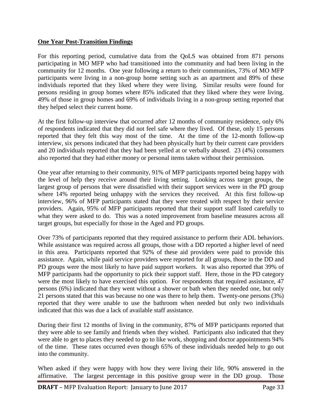#### **One Year Post-Transition Findings**

For this reporting period, cumulative data from the QoLS was obtained from 871 persons participating in MO MFP who had transitioned into the community and had been living in the community for 12 months. One year following a return to their communities, 73% of MO MFP participants were living in a non-group home setting such as an apartment and 89% of these individuals reported that they liked where they were living. Similar results were found for persons residing in group homes where 85% indicated that they liked where they were living. 49% of those in group homes and 69% of individuals living in a non-group setting reported that they helped select their current home.

At the first follow-up interview that occurred after 12 months of community residence, only 6% of respondents indicated that they did not feel safe where they lived. Of these, only 15 persons reported that they felt this way most of the time. At the time of the 12-month follow-up interview, six persons indicated that they had been physically hurt by their current care providers and 20 individuals reported that they had been yelled at or verbally abused. 23 (4%) consumers also reported that they had either money or personal items taken without their permission.

One year after returning to their community, 91% of MFP participants reported being happy with the level of help they receive around their living setting. Looking across target groups, the largest group of persons that were dissatisfied with their support services were in the PD group where 14% reported being unhappy with the services they received. At this first follow-up interview, 96% of MFP participants stated that they were treated with respect by their service providers. Again, 95% of MFP participants reported that their support staff listed carefully to what they were asked to do. This was a noted improvement from baseline measures across all target groups, but especially for those in the Aged and PD groups.

Over 73% of participants reported that they required assistance to perform their ADL behaviors. While assistance was required across all groups, those with a DD reported a higher level of need in this area. Participants reported that 92% of these aid providers were paid to provide this assistance. Again, while paid service providers were reported for all groups, those in the DD and PD groups were the most likely to have paid support workers. It was also reported that 39% of MFP participants had the opportunity to pick their support staff. Here, those in the PD category were the most likely to have exercised this option. For respondents that required assistance, 47 persons (6%) indicated that they went without a shower or bath when they needed one, but only 21 persons stated that this was because no one was there to help them. Twenty-one persons (3%) reported that they were unable to use the bathroom when needed but only two individuals indicated that this was due a lack of available staff assistance.

During their first 12 months of living in the community, 87% of MFP participants reported that they were able to see family and friends when they wished. Participants also indicated that they were able to get to places they needed to go to like work, shopping and doctor appointments 94% of the time. These rates occurred even though 65% of these individuals needed help to go out into the community.

When asked if they were happy with how they were living their life, 90% answered in the affirmative. The largest percentage in this positive group were in the DD group. Those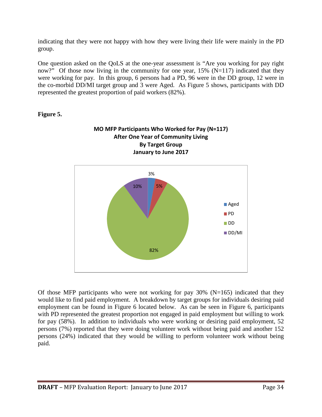indicating that they were not happy with how they were living their life were mainly in the PD group.

One question asked on the QoLS at the one-year assessment is "Are you working for pay right now?" Of those now living in the community for one year,  $15\%$  (N=117) indicated that they were working for pay. In this group, 6 persons had a PD, 96 were in the DD group, 12 were in the co-morbid DD/MI target group and 3 were Aged. As Figure 5 shows, participants with DD represented the greatest proportion of paid workers (82%).

#### **Figure 5.**



Of those MFP participants who were not working for pay  $30\%$  (N=165) indicated that they would like to find paid employment. A breakdown by target groups for individuals desiring paid employment can be found in Figure 6 located below. As can be seen in Figure 6, participants with PD represented the greatest proportion not engaged in paid employment but willing to work for pay (58%). In addition to individuals who were working or desiring paid employment, 52 persons (7%) reported that they were doing volunteer work without being paid and another 152 persons (24%) indicated that they would be willing to perform volunteer work without being paid.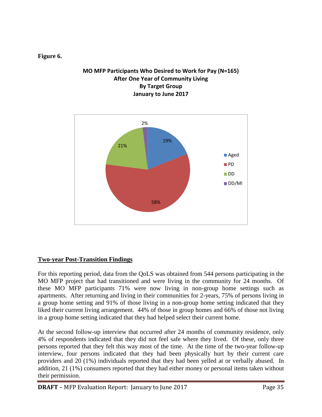#### **Figure 6.**

#### **MO MFP Participants Who Desired to Work for Pay (N=165) After One Year of Community Living By Target Group January to June 2017**



#### **Two-year Post-Transition Findings**

For this reporting period, data from the QoLS was obtained from 544 persons participating in the MO MFP project that had transitioned and were living in the community for 24 months. Of these MO MFP participants 71% were now living in non-group home settings such as apartments. After returning and living in their communities for 2-years, 75% of persons living in a group home setting and 91% of those living in a non-group home setting indicated that they liked their current living arrangement. 44% of those in group homes and 66% of those not living in a group home setting indicated that they had helped select their current home.

At the second follow-up interview that occurred after 24 months of community residence, only 4% of respondents indicated that they did not feel safe where they lived. Of these, only three persons reported that they felt this way most of the time. At the time of the two-year follow-up interview, four persons indicated that they had been physically hurt by their current care providers and 20 (1%) individuals reported that they had been yelled at or verbally abused. In addition, 21 (1%) consumers reported that they had either money or personal items taken without their permission.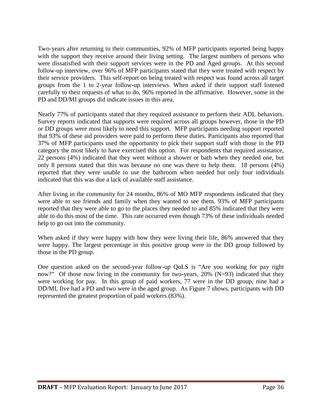Two-years after returning to their communities, 92% of MFP participants reported being happy with the support they receive around their living setting. The largest numbers of persons who were dissatisfied with their support services were in the PD and Aged groups. At this second follow-up interview, over 96% of MFP participants stated that they were treated with respect by their service providers. This self-report on being treated with respect was found across all target groups from the 1 to 2-year follow-up interviews. When asked if their support staff listened carefully to their requests of what to do, 96% reported in the affirmative. However, some in the PD and DD/MI groups did indicate issues in this area.

Nearly 77% of participants stated that they required assistance to perform their ADL behaviors. Survey reports indicated that supports were required across all groups however, those in the PD or DD groups were most likely to need this support. MFP participants needing support reported that 93% of these aid providers were paid to perform these duties. Participants also reported that 37% of MFP participants used the opportunity to pick their support staff with those in the PD category the most likely to have exercised this option. For respondents that required assistance, 22 persons (4%) indicated that they went without a shower or bath when they needed one, but only 8 persons stated that this was because no one was there to help them. 18 persons (4%) reported that they were unable to use the bathroom when needed but only four individuals indicated that this was due a lack of available staff assistance.

After living in the community for 24 months, 86% of MO MFP respondents indicated that they were able to see friends and family when they wanted to see them. 93% of MFP participants reported that they were able to go to the places they needed to and 85% indicated that they were able to do this most of the time. This rate occurred even though 73% of these individuals needed help to go out into the community.

When asked if they were happy with how they were living their life, 86% answered that they were happy. The largest percentage in this positive group were in the DD group followed by those in the PD group.

One question asked on the second-year follow-up QoLS is "Are you working for pay right now?" Of those now living in the community for two-years, 20% (N=93) indicated that they were working for pay. In this group of paid workers, 77 were in the DD group, nine had a DD/MI, five had a PD and two were in the aged group. As Figure 7 shows, participants with DD represented the greatest proportion of paid workers (83%).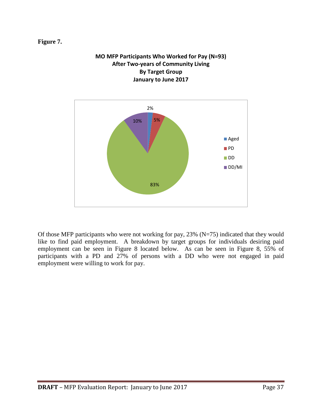#### **Figure 7.**



**MO MFP Participants Who Worked for Pay (N=93)**

Of those MFP participants who were not working for pay,  $23\%$  (N=75) indicated that they would like to find paid employment. A breakdown by target groups for individuals desiring paid employment can be seen in Figure 8 located below. As can be seen in Figure 8, 55% of participants with a PD and 27% of persons with a DD who were not engaged in paid employment were willing to work for pay.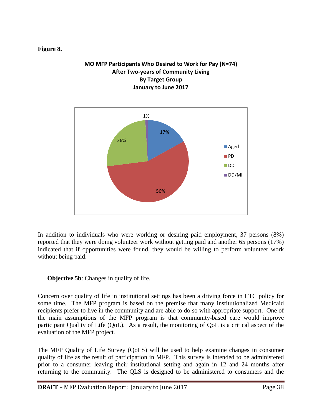#### **Figure 8.**

#### **MO MFP Participants Who Desired to Work for Pay (N=74) After Two-years of Community Living By Target Group January to June 2017**



In addition to individuals who were working or desiring paid employment, 37 persons (8%) reported that they were doing volunteer work without getting paid and another 65 persons (17%) indicated that if opportunities were found, they would be willing to perform volunteer work without being paid.

**Objective 5b:** Changes in quality of life.

Concern over quality of life in institutional settings has been a driving force in LTC policy for some time. The MFP program is based on the premise that many institutionalized Medicaid recipients prefer to live in the community and are able to do so with appropriate support. One of the main assumptions of the MFP program is that community-based care would improve participant Quality of Life (QoL). As a result, the monitoring of QoL is a critical aspect of the evaluation of the MFP project.

The MFP Quality of Life Survey (QoLS) will be used to help examine changes in consumer quality of life as the result of participation in MFP. This survey is intended to be administered prior to a consumer leaving their institutional setting and again in 12 and 24 months after returning to the community. The QLS is designed to be administered to consumers and the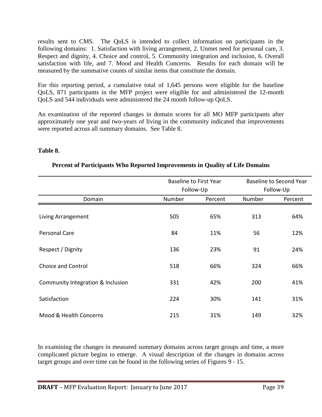results sent to CMS. The QoLS is intended to collect information on participants in the following domains: 1. Satisfaction with living arrangement, 2. Unmet need for personal care, 3. Respect and dignity, 4. Choice and control, 5. Community integration and inclusion, 6. Overall satisfaction with life, and 7. Mood and Health Concerns. Results for each domain will be measured by the summative counts of similar items that constitute the domain.

For this reporting period, a cumulative total of 1,645 persons were eligible for the baseline QoLS, 871 participants in the MFP project were eligible for and administered the 12-month QoLS and 544 individuals were administered the 24 month follow-up QoLS.

An examination of the reported changes in domain scores for all MO MFP participants after approximately one year and two-years of living in the community indicated that improvements were reported across all summary domains. See Table 8.

#### **Table 8.**

|                                   |        | <b>Baseline to First Year</b> |        | <b>Baseline to Second Year</b> |
|-----------------------------------|--------|-------------------------------|--------|--------------------------------|
|                                   |        | Follow-Up                     |        | Follow-Up                      |
| Domain                            | Number | Percent                       | Number | Percent                        |
| Living Arrangement                | 505    | 65%                           | 313    | 64%                            |
| <b>Personal Care</b>              | 84     | 11%                           | 56     | 12%                            |
| Respect / Dignity                 | 136    | 23%                           | 91     | 24%                            |
| <b>Choice and Control</b>         | 518    | 66%                           | 324    | 66%                            |
| Community Integration & Inclusion | 331    | 42%                           | 200    | 41%                            |
| Satisfaction                      | 224    | 30%                           | 141    | 31%                            |
| Mood & Health Concerns            | 215    | 31%                           | 149    | 32%                            |

#### **Percent of Participants Who Reported Improvements in Quality of Life Domains**

In examining the changes in measured summary domains across target groups and time, a more complicated picture begins to emerge. A visual description of the changes in domains across target groups and over time can be found in the following series of Figures 9 - 15.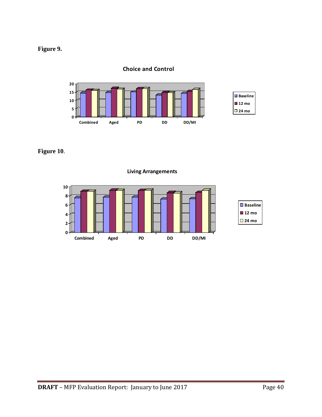## **Figure 9.**

#### **Choice and Control**



**Figure 10**.

**0 2 4 6 8 10 Combined Aged PD DD DD/MI** ■Baseline **12 mo 24 mo**

**Living Arrangements**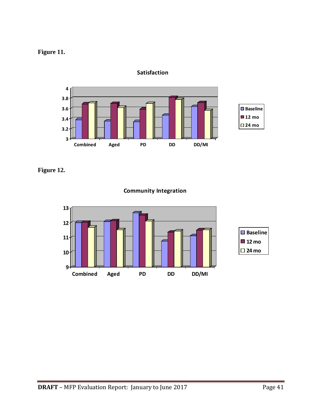



**Satisfaction**

**Figure 12.**

**Community Integration**

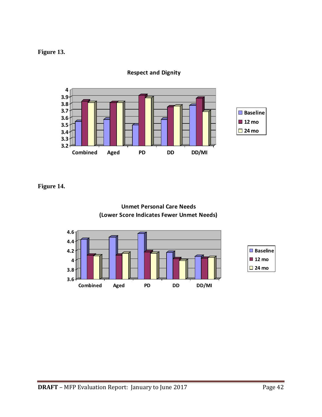### **Figure 13.**



**Respect and Dignity**

**Figure 14.**



**Unmet Personal Care Needs**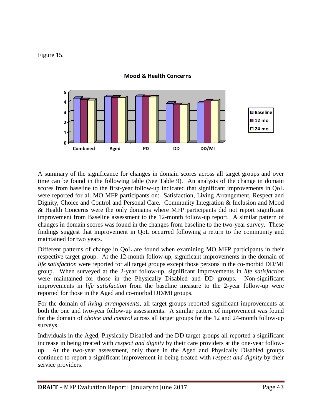#### Figure 15.



#### **Mood & Health Concerns**

A summary of the significance for changes in domain scores across all target groups and over time can be found in the following table (See Table 9). An analysis of the change in domain scores from baseline to the first-year follow-up indicated that significant improvements in QoL were reported for all MO MFP participants on: Satisfaction, Living Arrangement, Respect and Dignity, Choice and Control and Personal Care. Community Integration & Inclusion and Mood & Health Concerns were the only domains where MFP participants did not report significant improvement from Baseline assessment to the 12-month follow-up report. A similar pattern of changes in domain scores was found in the changes from baseline to the two-year survey. These findings suggest that improvement in QoL occurred following a return to the community and maintained for two years.

Different patterns of change in QoL are found when examining MO MFP participants in their respective target group. At the 12-month follow-up, significant improvements in the domain of *life satisfaction* were reported for all target groups except those persons in the co-morbid DD/MI group. When surveyed at the 2-year follow-up, significant improvements in *life satisfaction* were maintained for those in the Physically Disabled and DD groups. Non-significant improvements in *life satisfaction* from the baseline measure to the 2-year follow-up were reported for those in the Aged and co-morbid DD/MI groups.

For the domain of *living arrangements*, all target groups reported significant improvements at both the one and two-year follow-up assessments. A similar pattern of improvement was found for the domain of *choice and control* across all target groups for the 12 and 24-month follow-up surveys.

Individuals in the Aged, Physically Disabled and the DD target groups all reported a significant increase in being treated with *respect and dignity* by their care providers at the one-year followup. At the two-year assessment, only those in the Aged and Physically Disabled groups continued to report a significant improvement in being treated with *respect and dignity* by their service providers.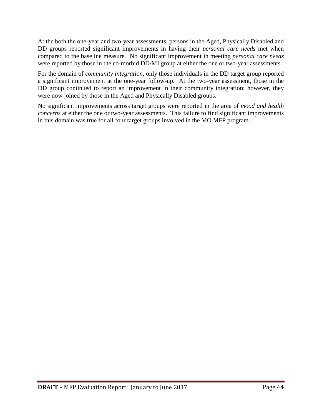At the both the one-year and two-year assessments, persons in the Aged, Physically Disabled and DD groups reported significant improvements in having their *personal care needs* met when compared to the baseline measure. No significant improvement in meeting *personal care needs*  were reported by those in the co-morbid DD/MI group at either the one or two-year assessments.

For the domain of *community integration*, only those individuals in the DD target group reported a significant improvement at the one-year follow-up. At the two-year assessment, those in the DD group continued to report an improvement in their community integration; however, they were now joined by those in the Aged and Physically Disabled groups.

No significant improvements across target groups were reported in the area of *mood and health concerns* at either the one or two-year assessments. This failure to find significant improvements in this domain was true for all four target groups involved in the MO MFP program.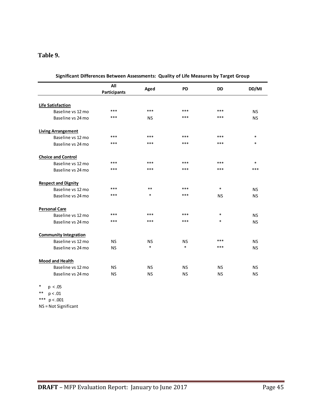#### **Table 9.**

|                              | All                 | Aged      | <b>PD</b> | <b>DD</b> | DD/MI     |
|------------------------------|---------------------|-----------|-----------|-----------|-----------|
|                              | <b>Participants</b> |           |           |           |           |
| <b>Life Satisfaction</b>     |                     |           |           |           |           |
| Baseline vs 12 mo            | ***                 | ***       | ***       | ***       | <b>NS</b> |
| Baseline vs 24 mo            | ***                 | <b>NS</b> | ***       | $***$     | <b>NS</b> |
| <b>Living Arrangement</b>    |                     |           |           |           |           |
| Baseline vs 12 mo            | ***                 | ***       | ***       | ***       | $\ast$    |
| Baseline vs 24 mo            | ***                 | ***       | ***       | $***$     | $\ast$    |
| <b>Choice and Control</b>    |                     |           |           |           |           |
| Baseline vs 12 mo            | ***                 | ***       | ***       | $***$     | $\ast$    |
| Baseline vs 24 mo            | ***                 | ***       | ***       | ***       | ***       |
| <b>Respect and Dignity</b>   |                     |           |           |           |           |
| Baseline vs 12 mo            | ***                 | $**$      | ***       | $\ast$    | <b>NS</b> |
| Baseline vs 24 mo            | ***                 | $\ast$    | ***       | <b>NS</b> | <b>NS</b> |
| <b>Personal Care</b>         |                     |           |           |           |           |
| Baseline vs 12 mo            | ***                 | ***       | ***       | $\ast$    | <b>NS</b> |
| Baseline vs 24 mo            | ***                 | ***       | ***       | $\ast$    | <b>NS</b> |
| <b>Community Integration</b> |                     |           |           |           |           |
| Baseline vs 12 mo            | <b>NS</b>           | <b>NS</b> | <b>NS</b> | ***       | <b>NS</b> |
| Baseline vs 24 mo            | <b>NS</b>           | $\ast$    | $\ast$    | ***       | <b>NS</b> |
| <b>Mood and Health</b>       |                     |           |           |           |           |
| Baseline vs 12 mo            | <b>NS</b>           | <b>NS</b> | <b>NS</b> | <b>NS</b> | <b>NS</b> |
| Baseline vs 24 mo            | <b>NS</b>           | <b>NS</b> | <b>NS</b> | <b>NS</b> | <b>NS</b> |

| Significant Differences Between Assessments: Quality of Life Measures by Target Group |  |
|---------------------------------------------------------------------------------------|--|
|                                                                                       |  |

\* p < .05

\*\* p < .01

\*\*\*  $p < .001$ 

NS = Not Significant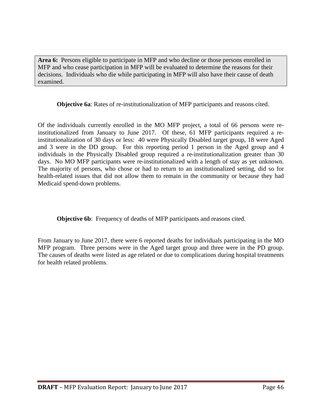**Area 6:** Persons eligible to participate in MFP and who decline or those persons enrolled in MFP and who cease participation in MFP will be evaluated to determine the reasons for their decisions. Individuals who die while participating in MFP will also have their cause of death examined.

**Objective 6a**: Rates of re-institutionalization of MFP participants and reasons cited.

Of the individuals currently enrolled in the MO MFP project, a total of 66 persons were reinstitutionalized from January to June 2017. Of these, 61 MFP participants required a reinstitutionalization of 30 days or less: 40 were Physically Disabled target group, 18 were Aged and 3 were in the DD group. For this reporting period 1 person in the Aged group and 4 individuals in the Physically Disabled group required a re-institutionalization greater than 30 days. No MO MFP participants were re-institutionalized with a length of stay as yet unknown. The majority of persons, who chose or had to return to an institutionalized setting, did so for health-related issues that did not allow them to remain in the community or because they had Medicaid spend-down problems.

**Objective 6b:** Frequency of deaths of MFP participants and reasons cited.

From January to June 2017, there were 6 reported deaths for individuals participating in the MO MFP program. Three persons were in the Aged target group and three were in the PD group. The causes of deaths were listed as age related or due to complications during hospital treatments for health related problems.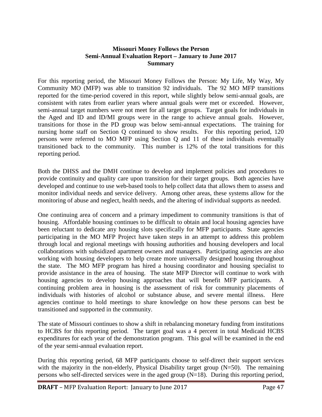#### **Missouri Money Follows the Person Semi-Annual Evaluation Report – January to June 2017 Summary**

For this reporting period, the Missouri Money Follows the Person: My Life, My Way, My Community MO (MFP) was able to transition 92 individuals. The 92 MO MFP transitions reported for the time-period covered in this report, while slightly below semi-annual goals, are consistent with rates from earlier years where annual goals were met or exceeded. However, semi-annual target numbers were not meet for all target groups. Target goals for individuals in the Aged and ID and ID/MI groups were in the range to achieve annual goals. However, transitions for those in the PD group was below semi-annual expectations. The training for nursing home staff on Section Q continued to show results. For this reporting period, 120 persons were referred to MO MFP using Section Q and 11 of these individuals eventually transitioned back to the community. This number is 12% of the total transitions for this reporting period.

Both the DHSS and the DMH continue to develop and implement policies and procedures to provide continuity and quality care upon transition for their target groups. Both agencies have developed and continue to use web-based tools to help collect data that allows them to assess and monitor individual needs and service delivery. Among other areas, these systems allow for the monitoring of abuse and neglect, health needs, and the altering of individual supports as needed.

One continuing area of concern and a primary impediment to community transitions is that of housing. Affordable housing continues to be difficult to obtain and local housing agencies have been reluctant to dedicate any housing slots specifically for MFP participants. State agencies participating in the MO MFP Project have taken steps in an attempt to address this problem through local and regional meetings with housing authorities and housing developers and local collaborations with subsidized apartment owners and managers. Participating agencies are also working with housing developers to help create more universally designed housing throughout the state. The MO MFP program has hired a housing coordinator and housing specialist to provide assistance in the area of housing. The state MFP Director will continue to work with housing agencies to develop housing approaches that will benefit MFP participants. A continuing problem area in housing is the assessment of risk for community placements of individuals with histories of alcohol or substance abuse, and severe mental illness. Here agencies continue to hold meetings to share knowledge on how these persons can best be transitioned and supported in the community.

The state of Missouri continues to show a shift in rebalancing monetary funding from institutions to HCBS for this reporting period. The target goal was a 4 percent in total Medicaid HCBS expenditures for each year of the demonstration program. This goal will be examined in the end of the year semi-annual evaluation report.

During this reporting period, 68 MFP participants choose to self-direct their support services with the majority in the non-elderly, Physical Disability target group (N=50). The remaining persons who self-directed services were in the aged group (N=18). During this reporting period,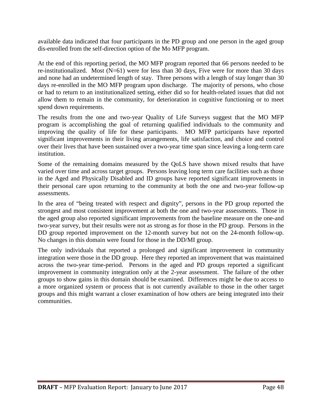available data indicated that four participants in the PD group and one person in the aged group dis-enrolled from the self-direction option of the Mo MFP program.

At the end of this reporting period, the MO MFP program reported that 66 persons needed to be re-institutionalized. Most  $(N=61)$  were for less than 30 days, Five were for more than 30 days and none had an undetermined length of stay. Three persons with a length of stay longer than 30 days re-enrolled in the MO MFP program upon discharge. The majority of persons, who chose or had to return to an institutionalized setting, either did so for health-related issues that did not allow them to remain in the community, for deterioration in cognitive functioning or to meet spend down requirements.

The results from the one and two-year Quality of Life Surveys suggest that the MO MFP program is accomplishing the goal of returning qualified individuals to the community and improving the quality of life for these participants. MO MFP participants have reported significant improvements in their living arrangements, life satisfaction, and choice and control over their lives that have been sustained over a two-year time span since leaving a long-term care institution.

Some of the remaining domains measured by the QoLS have shown mixed results that have varied over time and across target groups. Persons leaving long term care facilities such as those in the Aged and Physically Disabled and ID groups have reported significant improvements in their personal care upon returning to the community at both the one and two-year follow-up assessments.

In the area of "being treated with respect and dignity", persons in the PD group reported the strongest and most consistent improvement at both the one and two-year assessments. Those in the aged group also reported significant improvements from the baseline measure on the one-and two-year survey, but their results were not as strong as for those in the PD group. Persons in the DD group reported improvement on the 12-month survey but not on the 24-month follow-up. No changes in this domain were found for those in the DD/MI group.

The only individuals that reported a prolonged and significant improvement in community integration were those in the DD group. Here they reported an improvement that was maintained across the two-year time-period. Persons in the aged and PD groups reported a significant improvement in community integration only at the 2-year assessment. The failure of the other groups to show gains in this domain should be examined. Differences might be due to access to a more organized system or process that is not currently available to those in the other target groups and this might warrant a closer examination of how others are being integrated into their communities.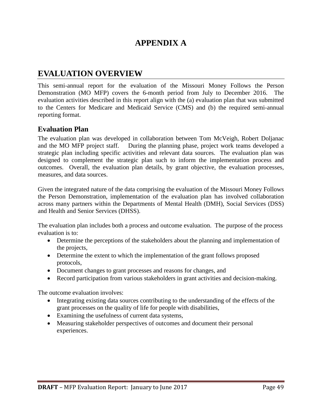# **APPENDIX A**

# **EVALUATION OVERVIEW**

This semi-annual report for the evaluation of the Missouri Money Follows the Person Demonstration (MO MFP) covers the 6-month period from July to December 2016. The evaluation activities described in this report align with the (a) evaluation plan that was submitted to the Centers for Medicare and Medicaid Service (CMS) and (b) the required semi-annual reporting format.

### **Evaluation Plan**

The evaluation plan was developed in collaboration between Tom McVeigh, Robert Doljanac and the MO MFP project staff. During the planning phase, project work teams developed a strategic plan including specific activities and relevant data sources. The evaluation plan was designed to complement the strategic plan such to inform the implementation process and outcomes. Overall, the evaluation plan details, by grant objective, the evaluation processes, measures, and data sources.

Given the integrated nature of the data comprising the evaluation of the Missouri Money Follows the Person Demonstration, implementation of the evaluation plan has involved collaboration across many partners within the Departments of Mental Health (DMH), Social Services (DSS) and Health and Senior Services (DHSS).

The evaluation plan includes both a process and outcome evaluation. The purpose of the process evaluation is to:

- Determine the perceptions of the stakeholders about the planning and implementation of the projects,
- Determine the extent to which the implementation of the grant follows proposed protocols,
- Document changes to grant processes and reasons for changes, and
- Record participation from various stakeholders in grant activities and decision-making.

The outcome evaluation involves:

- Integrating existing data sources contributing to the understanding of the effects of the grant processes on the quality of life for people with disabilities,
- Examining the usefulness of current data systems,
- Measuring stakeholder perspectives of outcomes and document their personal experiences.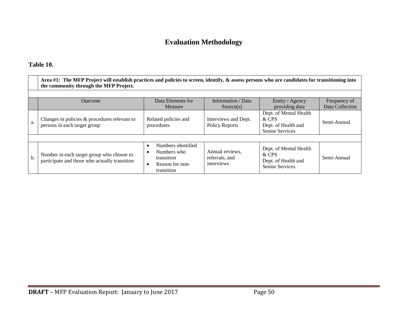# **Evaluation Methodology**

### **Table 10.**

|     | Area #1: The MFP Project will establish practices and policies to screen, identify, & assess persons who are candidates for transitioning into<br>the community through the MFP Project. |                                                                                               |                                                 |                                                                                  |                                 |  |  |  |  |  |
|-----|------------------------------------------------------------------------------------------------------------------------------------------------------------------------------------------|-----------------------------------------------------------------------------------------------|-------------------------------------------------|----------------------------------------------------------------------------------|---------------------------------|--|--|--|--|--|
|     |                                                                                                                                                                                          |                                                                                               |                                                 |                                                                                  |                                 |  |  |  |  |  |
|     | Outcome                                                                                                                                                                                  | Data Elements for<br>Measure                                                                  | Information / Data<br>Source(s)                 | Entity / Agency<br>providing data                                                | Frequency of<br>Data Collection |  |  |  |  |  |
| a.  | Changes in policies & procedures relevant to<br>persons in each target group                                                                                                             | Related policies and<br>procedures                                                            | Interviews and Dept.<br>Policy Reports          | Dept. of Mental Health<br>& CPS<br>Dept. of Health and<br>Senior Services        | Semi-Annual                     |  |  |  |  |  |
|     |                                                                                                                                                                                          |                                                                                               |                                                 |                                                                                  |                                 |  |  |  |  |  |
| $b$ | Number in each target group who choose to<br>participate and those who actually transition                                                                                               | Numbers identified<br>$\bullet$<br>Numbers who<br>transition<br>Reason for non-<br>transition | Annual reviews,<br>referrals, and<br>interviews | Dept. of Mental Health<br>& CPS<br>Dept. of Health and<br><b>Senior Services</b> | Semi-Annual                     |  |  |  |  |  |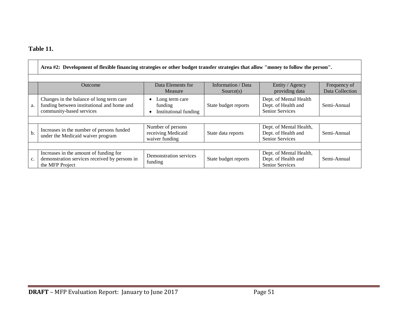## **Table 11.**

|     | Area #2: Development of flexible financing strategies or other budget transfer strategies that allow "money to follow the person". |                                                           |                                 |                                                                          |                                 |  |  |  |  |
|-----|------------------------------------------------------------------------------------------------------------------------------------|-----------------------------------------------------------|---------------------------------|--------------------------------------------------------------------------|---------------------------------|--|--|--|--|
|     | Outcome                                                                                                                            | Data Elements for<br>Measure                              | Information / Data<br>Source(s) | Entity / Agency<br>providing data                                        | Frequency of<br>Data Collection |  |  |  |  |
| a.  | Changes in the balance of long term care<br>funding between institutional and home and<br>community-based services                 | Long term care<br>funding<br>Institutional funding        | State budget reports            | Dept. of Mental Health<br>Dept. of Health and<br><b>Senior Services</b>  | Semi-Annual                     |  |  |  |  |
|     |                                                                                                                                    |                                                           |                                 |                                                                          |                                 |  |  |  |  |
| $b$ | Increases in the number of persons funded<br>under the Medicaid waiver program                                                     | Number of persons<br>receiving Medicaid<br>waiver funding | State data reports              | Dept. of Mental Health,<br>Dept. of Health and<br>Senior Services        | Semi-Annual                     |  |  |  |  |
|     |                                                                                                                                    |                                                           |                                 |                                                                          |                                 |  |  |  |  |
| c.  | Increases in the amount of funding for<br>demonstration services received by persons in<br>the MFP Project                         | Demonstration services<br>funding                         | State budget reports            | Dept. of Mental Health,<br>Dept. of Health and<br><b>Senior Services</b> | Semi-Annual                     |  |  |  |  |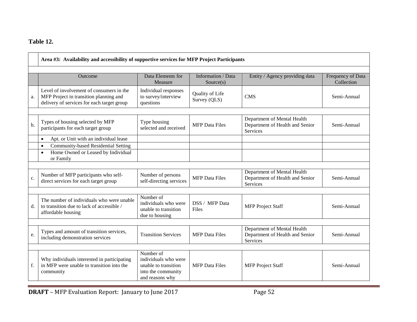### **Table 12.**

|    | Area #3: Availability and accessibility of supportive services for MFP Project Participants                                      |                                                                                                    |                                 |                                                                                   |                                 |  |  |  |  |
|----|----------------------------------------------------------------------------------------------------------------------------------|----------------------------------------------------------------------------------------------------|---------------------------------|-----------------------------------------------------------------------------------|---------------------------------|--|--|--|--|
|    | <b>Outcome</b>                                                                                                                   | Data Elements for<br>Measure                                                                       | Information / Data<br>Source(s) | Entity / Agency providing data                                                    | Frequency of Data<br>Collection |  |  |  |  |
| a. | Level of involvement of consumers in the<br>MFP Project in transition planning and<br>delivery of services for each target group | Individual responses<br>to survey/interview<br>questions                                           | Quality of Life<br>Survey (QLS) | <b>CMS</b>                                                                        | Semi-Annual                     |  |  |  |  |
| b. | Types of housing selected by MFP<br>participants for each target group                                                           | Type housing<br>selected and received                                                              | <b>MFP</b> Data Files           | Department of Mental Health<br>Department of Health and Senior<br>Services        | Semi-Annual                     |  |  |  |  |
|    | Apt. or Unit with an individual lease<br>$\bullet$                                                                               |                                                                                                    |                                 |                                                                                   |                                 |  |  |  |  |
|    | Community-based Residential Setting<br>$\bullet$<br>Home Owned or Leased by Individual<br>$\bullet$<br>or Family                 |                                                                                                    |                                 |                                                                                   |                                 |  |  |  |  |
| c. | Number of MFP participants who self-<br>direct services for each target group                                                    | Number of persons<br>self-directing services                                                       | <b>MFP</b> Data Files           | Department of Mental Health<br>Department of Health and Senior<br><b>Services</b> | Semi-Annual                     |  |  |  |  |
| d. | The number of individuals who were unable<br>to transition due to lack of accessible /<br>affordable housing                     | Number of<br>individuals who were<br>unable to transition<br>due to housing                        | DSS / MFP Data<br>Files         | <b>MFP</b> Project Staff                                                          | Semi-Annual                     |  |  |  |  |
| e. | Types and amount of transition services,<br>including demonstration services                                                     | <b>Transition Services</b>                                                                         | <b>MFP</b> Data Files           | Department of Mental Health<br>Department of Health and Senior<br>Services        | Semi-Annual                     |  |  |  |  |
| f. | Why individuals interested in participating<br>in MFP were unable to transition into the<br>community                            | Number of<br>individuals who were<br>unable to transition<br>into the community<br>and reasons why | <b>MFP</b> Data Files           | <b>MFP</b> Project Staff                                                          | Semi-Annual                     |  |  |  |  |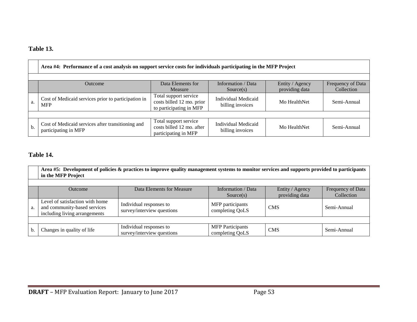## **Table 13.**

|    | Area #4: Performance of a cost analysis on support service costs for individuals participating in the MFP Project                                         |                                                                               |                                                |              |             |  |  |  |  |
|----|-----------------------------------------------------------------------------------------------------------------------------------------------------------|-------------------------------------------------------------------------------|------------------------------------------------|--------------|-------------|--|--|--|--|
|    | Data Elements for<br>Information / Data<br>Entity / Agency<br>Frequency of Data<br><b>Outcome</b><br>providing data<br>Collection<br>Measure<br>Source(s) |                                                                               |                                                |              |             |  |  |  |  |
| a. | Cost of Medicaid services prior to participation in<br><b>MFP</b>                                                                                         | Total support service<br>costs billed 12 mo. prior<br>to participating in MFP | <b>Individual Medicaid</b><br>billing invoices | Mo HealthNet | Semi-Annual |  |  |  |  |
|    |                                                                                                                                                           |                                                                               |                                                |              |             |  |  |  |  |
| b. | Cost of Medicaid services after transitioning and<br>participating in MFP                                                                                 | Total support service<br>costs billed 12 mo. after<br>participating in MFP    | Individual Medicaid<br>billing invoices        | Mo HealthNet | Semi-Annual |  |  |  |  |

## **Table 14.**

|                                                                                                                                                        | Area #5: Development of policies & practices to improve quality management systems to monitor services and supports provided to participants<br>in the MFP Project |                                                       |                                            |            |             |  |  |  |  |
|--------------------------------------------------------------------------------------------------------------------------------------------------------|--------------------------------------------------------------------------------------------------------------------------------------------------------------------|-------------------------------------------------------|--------------------------------------------|------------|-------------|--|--|--|--|
| Data Elements for Measure<br>Information / Data<br>Entity / Agency<br>Frequency of Data<br><b>Outcome</b><br>providing data<br>Collection<br>Source(s) |                                                                                                                                                                    |                                                       |                                            |            |             |  |  |  |  |
| a.                                                                                                                                                     | Level of satisfaction with home<br>and community-based services<br>including living arrangements                                                                   | Individual responses to<br>survey/interview questions | MFP participants<br>completing QoLS        | <b>CMS</b> | Semi-Annual |  |  |  |  |
|                                                                                                                                                        |                                                                                                                                                                    |                                                       |                                            |            |             |  |  |  |  |
| b.                                                                                                                                                     | Changes in quality of life                                                                                                                                         | Individual responses to<br>survey/interview questions | <b>MFP</b> Participants<br>completing QoLS | <b>CMS</b> | Semi-Annual |  |  |  |  |